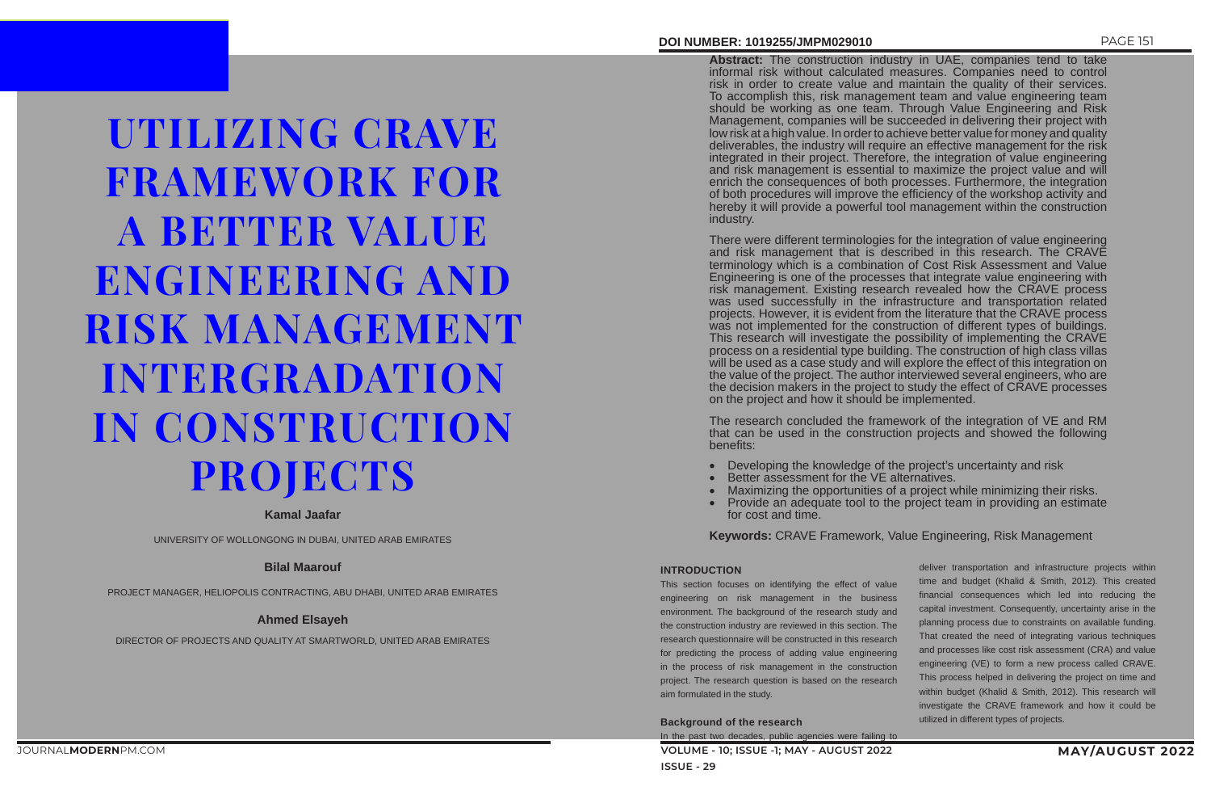# **DOI NUMBER: 1019255/JMPM029010** PAGE 151

• Maximizing the opportunities of a project while minimizing their risks.<br>• Provide an adequate tool to the project team in providing an estimate Provide an adequate tool to the project team in providing an estimate

## **INTRODUCTION**

**VOLUME - 10; ISSUE -1; MAY - AUGUST 2022 MAY/AUGUST 2022 ISSUE - 29** In the past two decades, public agencies were failing to

This section focuses on identifying the effect of value engineering on risk management in the business environment. The background of the research study and the construction industry are reviewed in this section. The research questionnaire will be constructed in this research for predicting the process of adding value engineering in the process of risk management in the construction project. The research question is based on the research aim formulated in the study.

**Background of the research**

deliver transportation and infrastructure projects within time and budget (Khalid & Smith, 2012). This created financial consequences which led into reducing the capital investment. Consequently, uncertainty arise in the planning process due to constraints on available funding. That created the need of integrating various techniques and processes like cost risk assessment (CRA) and value engineering (VE) to form a new process called CRAVE. This process helped in delivering the project on time and within budget (Khalid & Smith, 2012). This research will investigate the CRAVE framework and how it could be utilized in different types of projects.

UTILIZING CRAVE FRAMEWORK FOR A BETTER VALUE ENGINEERING AND RISK MANAGEMENT INTERGRADATION IN CONSTRUCTION PROJECTS

# **Kamal Jaafar**

UNIVERSITY OF WOLLONGONG IN DUBAI, UNITED ARAB EMIRATES

# **Bilal Maarouf**

PROJECT MANAGER, HELIOPOLIS CONTRACTING, ABU DHABI, UNITED ARAB EMIRATES

# **Ahmed Elsayeh**

DIRECTOR OF PROJECTS AND QUALITY AT SMARTWORLD, UNITED ARAB EMIRATES

- Developing the knowledge of the project's uncertainty and risk
- Better assessment for the VE alternatives.
- 
- for cost and time.

**Abstract:** The construction industry in UAE, companies tend to take informal risk without calculated measures. Companies need to control risk in order to create value and maintain the quality of their services. To accomplish this, risk management team and value engineering team should be working as one team. Through Value Engineering and Risk Management, companies will be succeeded in delivering their project with low risk at a high value. In order to achieve better value for money and quality deliverables, the industry will require an effective management for the risk integrated in their project. Therefore, the integration of value engineering and risk management is essential to maximize the project value and will enrich the consequences of both processes. Furthermore, the integration of both procedures will improve the efficiency of the workshop activity and hereby it will provide a powerful tool management within the construction industry.

There were different terminologies for the integration of value engineering and risk management that is described in this research. The CRAVE terminology which is a combination of Cost Risk Assessment and Value Engineering is one of the processes that integrate value engineering with risk management. Existing research revealed how the CRAVE process was used successfully in the infrastructure and transportation related projects. However, it is evident from the literature that the CRAVE process was not implemented for the construction of different types of buildings. This research will investigate the possibility of implementing the CRAVE process on a residential type building. The construction of high class villas will be used as a case study and will explore the effect of this integration on the value of the project. The author interviewed several engineers, who are the decision makers in the project to study the effect of CRAVE processes on the project and how it should be implemented.

The research concluded the framework of the integration of VE and RM that can be used in the construction projects and showed the following benefits:

**Keywords:** CRAVE Framework, Value Engineering, Risk Management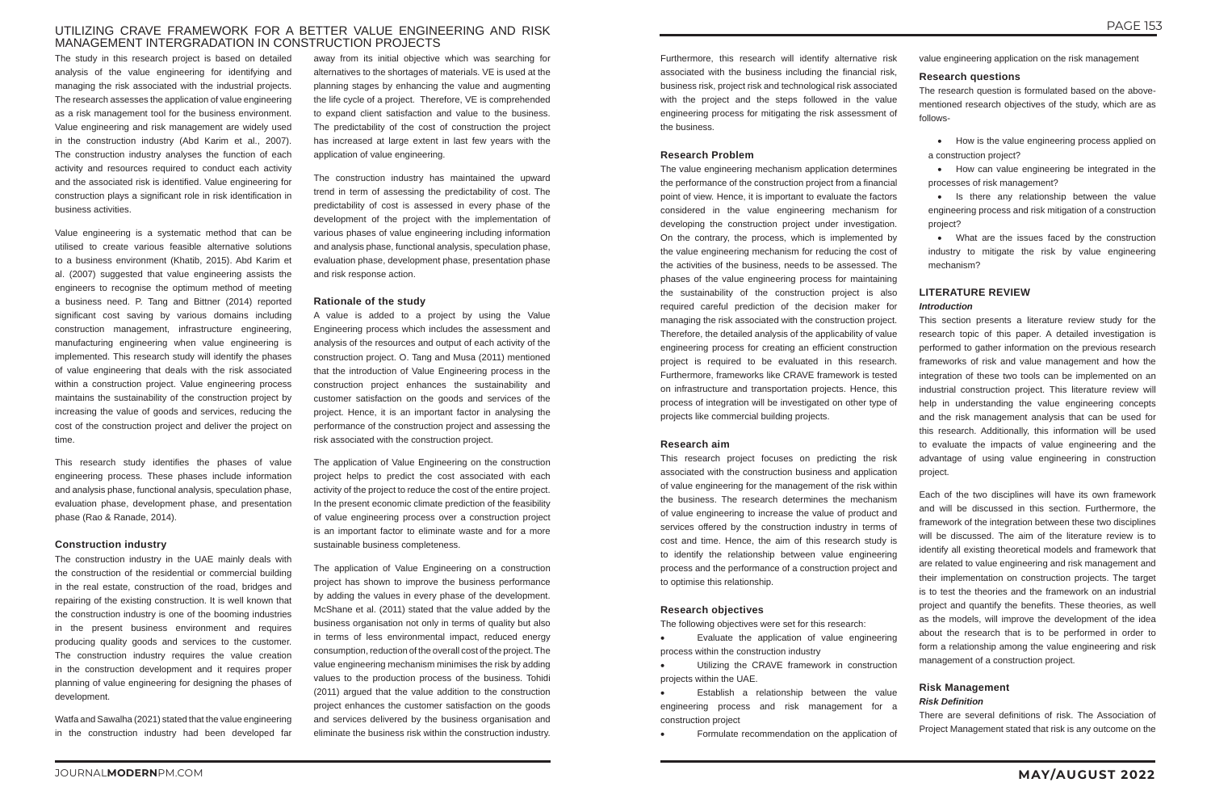# UTILIZING CRAVE FRAMEWORK FOR A BETTER VALUE ENGINEERING AND RISK MANAGEMENT INTERGRADATION IN CONSTRUCTION PROJECTS

The study in this research project is based on detailed analysis of the value engineering for identifying and managing the risk associated with the industrial projects. The research assesses the application of value engineering as a risk management tool for the business environment. Value engineering and risk management are widely used in the construction industry (Abd Karim et al., 2007). The construction industry analyses the function of each activity and resources required to conduct each activity and the associated risk is identified. Value engineering for construction plays a significant role in risk identification in business activities.

Value engineering is a systematic method that can be utilised to create various feasible alternative solutions to a business environment (Khatib, 2015). Abd Karim et al. (2007) suggested that value engineering assists the engineers to recognise the optimum method of meeting a business need. P. Tang and Bittner (2014) reported significant cost saving by various domains including construction management, infrastructure engineering, manufacturing engineering when value engineering is implemented. This research study will identify the phases of value engineering that deals with the risk associated within a construction project. Value engineering process maintains the sustainability of the construction project by increasing the value of goods and services, reducing the cost of the construction project and deliver the project on time.

This research study identifies the phases of value engineering process. These phases include information and analysis phase, functional analysis, speculation phase, evaluation phase, development phase, and presentation phase (Rao & Ranade, 2014).

#### **Construction industry**

The construction industry in the UAE mainly deals with the construction of the residential or commercial building in the real estate, construction of the road, bridges and repairing of the existing construction. It is well known that the construction industry is one of the booming industries in the present business environment and requires producing quality goods and services to the customer. The construction industry requires the value creation in the construction development and it requires proper planning of value engineering for designing the phases of development.

Watfa and Sawalha (2021) stated that the value engineering in the construction industry had been developed far

away from its initial objective which was searching for alternatives to the shortages of materials. VE is used at the planning stages by enhancing the value and augmenting the life cycle of a project. Therefore, VE is comprehended to expand client satisfaction and value to the business. The predictability of the cost of construction the project has increased at large extent in last few years with the application of value engineering.

The construction industry has maintained the upward trend in term of assessing the predictability of cost. The predictability of cost is assessed in every phase of the development of the project with the implementation of various phases of value engineering including information and analysis phase, functional analysis, speculation phase, evaluation phase, development phase, presentation phase and risk response action.

#### **Rationale of the study**

Evaluate the application of value engineering process within the construction industry

Utilizing the CRAVE framework in construction projects within the UAE.

Establish a relationship between the value engineering process and risk management for a construction project

Formulate recommendation on the application of

A value is added to a project by using the Value Engineering process which includes the assessment and analysis of the resources and output of each activity of the construction project. O. Tang and Musa (2011) mentioned that the introduction of Value Engineering process in the construction project enhances the sustainability and customer satisfaction on the goods and services of the project. Hence, it is an important factor in analysing the performance of the construction project and assessing the risk associated with the construction project.

• How is the value engineering process applied on a construction project?

• How can value engineering be integrated in the processes of risk management?

• What are the issues faced by the construction industry to mitigate the risk by value engineering mechanism?

The application of Value Engineering on the construction project helps to predict the cost associated with each activity of the project to reduce the cost of the entire project. In the present economic climate prediction of the feasibility of value engineering process over a construction project is an important factor to eliminate waste and for a more sustainable business completeness.

The application of Value Engineering on a construction project has shown to improve the business performance by adding the values in every phase of the development. McShane et al. (2011) stated that the value added by the business organisation not only in terms of quality but also in terms of less environmental impact, reduced energy consumption, reduction of the overall cost of the project. The value engineering mechanism minimises the risk by adding values to the production process of the business. Tohidi (2011) argued that the value addition to the construction project enhances the customer satisfaction on the goods and services delivered by the business organisation and eliminate the business risk within the construction industry.

Furthermore, this research will identify alternative risk associated with the business including the financial risk, business risk, project risk and technological risk associated with the project and the steps followed in the value engineering process for mitigating the risk assessment of the business.

#### **Research Problem**

The value engineering mechanism application determines the performance of the construction project from a financial point of view. Hence, it is important to evaluate the factors considered in the value engineering mechanism for developing the construction project under investigation. On the contrary, the process, which is implemented by the value engineering mechanism for reducing the cost of the activities of the business, needs to be assessed. The phases of the value engineering process for maintaining the sustainability of the construction project is also required careful prediction of the decision maker for managing the risk associated with the construction project. Therefore, the detailed analysis of the applicability of value engineering process for creating an efficient construction project is required to be evaluated in this research. Furthermore, frameworks like CRAVE framework is tested on infrastructure and transportation projects. Hence, this process of integration will be investigated on other type of projects like commercial building projects.

#### **Research aim**

This research project focuses on predicting the risk associated with the construction business and application of value engineering for the management of the risk within the business. The research determines the mechanism of value engineering to increase the value of product and services offered by the construction industry in terms of cost and time. Hence, the aim of this research study is to identify the relationship between value engineering process and the performance of a construction project and to optimise this relationship.

#### **Research objectives**

The following objectives were set for this research:

value engineering application on the risk management

# **Research questions**

The research question is formulated based on the abovementioned research objectives of the study, which are as follows-

• Is there any relationship between the value engineering process and risk mitigation of a construction project?

# **LITERATURE REVIEW**

### *Introduction*

This section presents a literature review study for the research topic of this paper. A detailed investigation is performed to gather information on the previous research frameworks of risk and value management and how the integration of these two tools can be implemented on an industrial construction project. This literature review will help in understanding the value engineering concepts and the risk management analysis that can be used for this research. Additionally, this information will be used to evaluate the impacts of value engineering and the advantage of using value engineering in construction project.

Each of the two disciplines will have its own framework and will be discussed in this section. Furthermore, the framework of the integration between these two disciplines will be discussed. The aim of the literature review is to identify all existing theoretical models and framework that are related to value engineering and risk management and their implementation on construction projects. The target is to test the theories and the framework on an industrial project and quantify the benefits. These theories, as well as the models, will improve the development of the idea about the research that is to be performed in order to form a relationship among the value engineering and risk management of a construction project.

# **Risk Management**

# *Risk Definition*

There are several definitions of risk. The Association of Project Management stated that risk is any outcome on the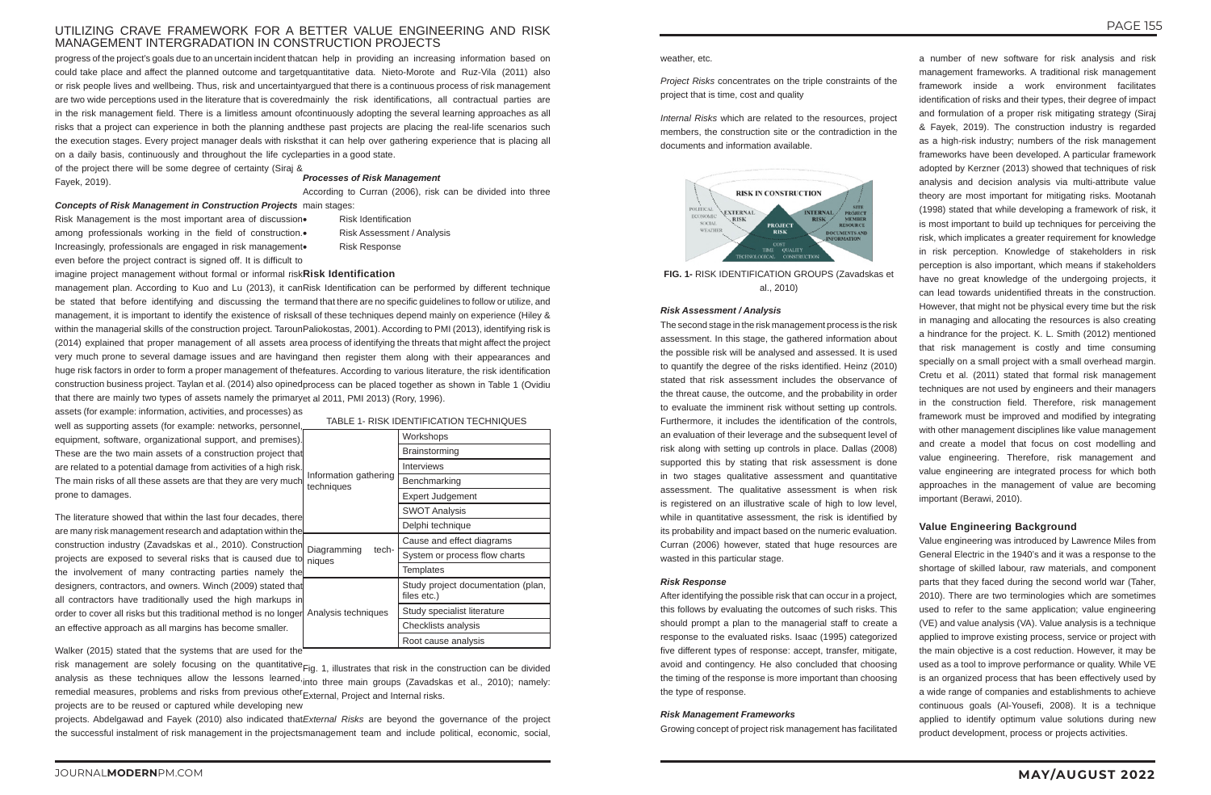# UTILIZING CRAVE FRAMEWORK FOR A BETTER VALUE ENGINEERING AND RISK MANAGEMENT INTERGRADATION IN CONSTRUCTION PROJECTS

progress of the project's goals due to an uncertain incident thatcan help in providing an increasing information based on could take place and affect the planned outcome and targetquantitative data. Nieto-Morote and Ruz-Vila (2011) also or risk people lives and wellbeing. Thus, risk and uncertaintyargued that there is a continuous process of risk management are two wide perceptions used in the literature that is coveredmainly the risk identifications, all contractual parties are in the risk management field. There is a limitless amount ofcontinuously adopting the several learning approaches as all risks that a project can experience in both the planning andthese past projects are placing the real-life scenarios such the execution stages. Every project manager deals with risksthat it can help over gathering experience that is placing all on a daily basis, continuously and throughout the life cycleparties in a good state.

of the project there will be some degree of certainty (Siraj & Fayek, 2019).

Risk Management is the most important area of discussion among professionals working in the field of construction.• Increasingly, professionals are engaged in risk management even before the project contract is signed off. It is difficult to

**Risk Identification Risk Assessment / Analysis Risk Response** 

The literature showed that within the last four decades, there are many risk management research and adaptation within the construction industry (Zavadskas et al., 2010). Construction projects are exposed to several risks that is caused due to<mark>l</mark> niques the involvement of many contracting parties namely the designers, contractors, and owners. Winch (2009) stated that all contractors have traditionally used the high markups in order to cover all risks but this traditional method is no longer| Analysis techniques an effective approach as all margins has become smaller. Diagramming tech-

risk management are solely focusing on the quantitative<sub>Fig.</sub> 1, illustrates that risk in the construction can be divided analysis as these techniques allow the lessons learned,<sub>into</sub> three main groups (Zavadskas et al., 2010); namely: remedial measures, problems and risks from previous other $_{\sf External}$  Project and Internal risks. projects are to be reused or captured while developing new

projects. Abdelgawad and Fayek (2010) also indicated that*External Risks* are beyond the governance of the project the successful instalment of risk management in the projectsmanagement team and include political, economic, social,

#### *Concepts of Risk Management in Construction Projects* main stages:

imagine project management without formal or informal risk **Risk Identification**

management plan. According to Kuo and Lu (2013), it canRisk Identification can be performed by different technique be stated that before identifying and discussing the termand†that†there are no specific guidelines to follow or utilize, and management, it is important to identify the existence of risksall of these techniques depend mainly on experience (Hiley & within the managerial skills of the construction project. TarounPaliokostas, 2001). According to PMI (2013), identifying risk is (2014) explained that proper management of all assets area process of identifying the threats that might affect the project very much prone to several damage issues and are havingand then register them along with their appearances and huge risk factors in order to form a proper management of thefeatures. According to various literature, the risk identification construction business project. Taylan et al. (2014) also opinedprocess can be placed together as shown in Table 1 (Ovidiu that there are mainly two types of assets namely the primaryet al 2011, PMI 2013) (Rory, 1996).

Walker (2015) stated that the systems that are used for the

assets (for example: information, activities, and processes) as well as supporting assets (for example: networks, personnel equipment, software, organizational support, and premises). These are the two main assets of a construction project that are related to a potential damage from activities of a high risk. The main risks of all these assets are that they are very much prone to damages. Information gathering techniques

### *Processes of Risk Management*

According to Curran (2006), risk can be divided into three

TABLE 1- RISK IDENTIFICATION TECHNIQUES

Workshops **Brainstorming** Interviews Benchmarking Expert Judgement SWOT Analysis Delphi technique

**Templates** 

Cause and effect diagrams System or process flow charts

Study project documentation (plan,

files etc.)

Study specialist literature Checklists analysis Root cause analysis

weather, etc.

*Project Risks* concentrates on the triple constraints of the project that is time, cost and quality

*Internal Risks* which are related to the resources, project members, the construction site or the contradiction in the documents and information available.



**FIG. 1-** RISK IDENTIFICATION GROUPS (Zavadskas et al., 2010)

#### *Risk Assessment / Analysis*

The second stage in the risk management process is the risk assessment. In this stage, the gathered information about the possible risk will be analysed and assessed. It is used to quantify the degree of the risks identified. Heinz (2010) stated that risk assessment includes the observance of the threat cause, the outcome, and the probability in order to evaluate the imminent risk without setting up controls. Furthermore, it includes the identification of the controls, an evaluation of their leverage and the subsequent level of risk along with setting up controls in place. Dallas (2008) supported this by stating that risk assessment is done in two stages qualitative assessment and quantitative assessment. The qualitative assessment is when risk is registered on an illustrative scale of high to low level, while in quantitative assessment, the risk is identified by its probability and impact based on the numeric evaluation. Curran (2006) however, stated that huge resources are wasted in this particular stage.

#### *Risk Response*

After identifying the possible risk that can occur in a project, this follows by evaluating the outcomes of such risks. This should prompt a plan to the managerial staff to create a response to the evaluated risks. Isaac (1995) categorized five different types of response: accept, transfer, mitigate, avoid and contingency. He also concluded that choosing the timing of the response is more important than choosing the type of response.

#### *Risk Management Frameworks*

Growing concept of project risk management has facilitated

a number of new software for risk analysis and risk management frameworks. A traditional risk management framework inside a work environment facilitates identification of risks and their types, their degree of impact and formulation of a proper risk mitigating strategy (Siraj & Fayek, 2019). The construction industry is regarded as a high-risk industry; numbers of the risk management frameworks have been developed. A particular framework adopted by Kerzner (2013) showed that techniques of risk analysis and decision analysis via multi-attribute value theory are most important for mitigating risks. Mootanah (1998) stated that while developing a framework of risk, it is most important to build up techniques for perceiving the risk, which implicates a greater requirement for knowledge in risk perception. Knowledge of stakeholders in risk perception is also important, which means if stakeholders have no great knowledge of the undergoing projects, it can lead towards unidentified threats in the construction. However, that might not be physical every time but the risk in managing and allocating the resources is also creating a hindrance for the project. K. L. Smith (2012) mentioned that risk management is costly and time consuming specially on a small project with a small overhead margin. Cretu et al. (2011) stated that formal risk management techniques are not used by engineers and their managers in the construction field. Therefore, risk management framework must be improved and modified by integrating with other management disciplines like value management and create a model that focus on cost modelling and value engineering. Therefore, risk management and value engineering are integrated process for which both approaches in the management of value are becoming important (Berawi, 2010).

# **Value Engineering Background**

Value engineering was introduced by Lawrence Miles from General Electric in the 1940's and it was a response to the shortage of skilled labour, raw materials, and component parts that they faced during the second world war (Taher, 2010). There are two terminologies which are sometimes used to refer to the same application; value engineering (VE) and value analysis (VA). Value analysis is a technique applied to improve existing process, service or project with the main objective is a cost reduction. However, it may be used as a tool to improve performance or quality. While VE is an organized process that has been effectively used by a wide range of companies and establishments to achieve continuous goals (Al-Yousefi, 2008). It is a technique applied to identify optimum value solutions during new product development, process or projects activities.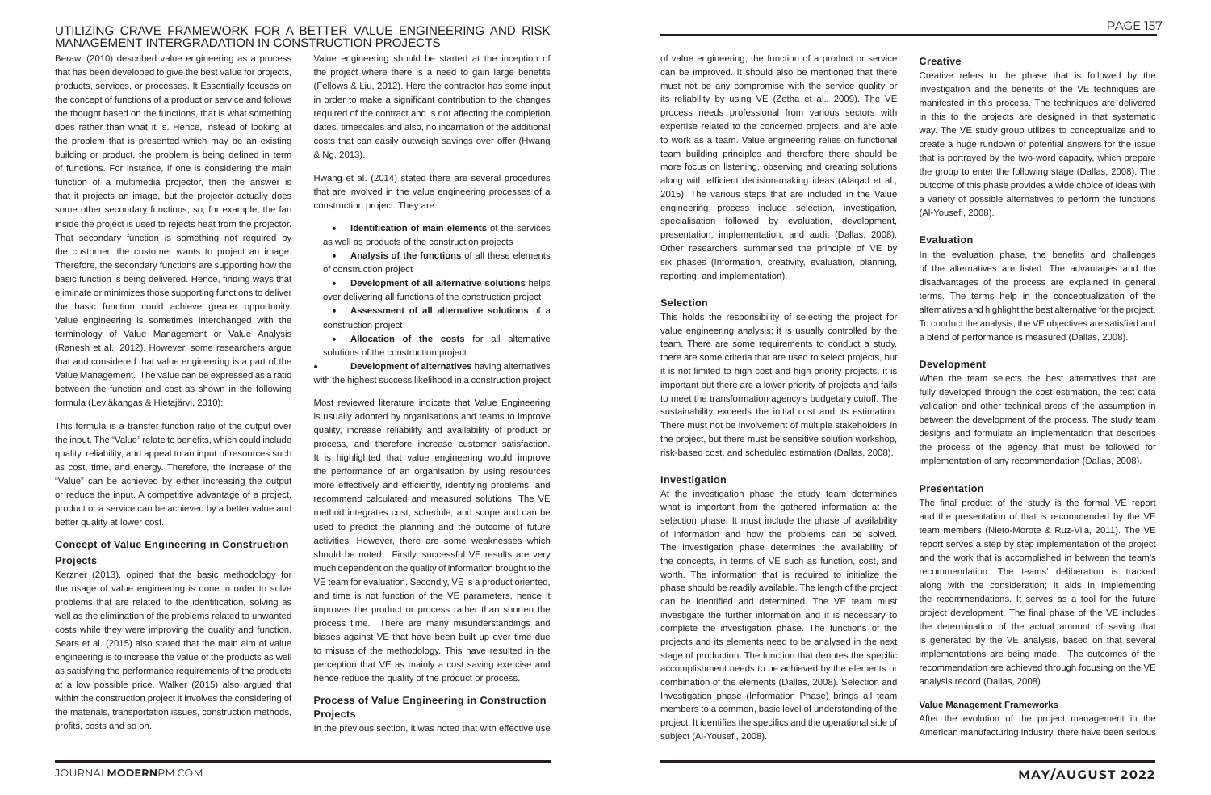# UTILIZING CRAVE FRAMEWORK FOR A BETTER VALUE ENGINEERING AND RISK MANAGEMENT INTERGRADATION IN CONSTRUCTION PROJECTS

Berawi (2010) described value engineering as a process that has been developed to give the best value for projects, products, services, or processes. It Essentially focuses on the concept of functions of a product or service and follows the thought based on the functions, that is what something does rather than what it is. Hence, instead of looking at the problem that is presented which may be an existing building or product, the problem is being defined in term of functions. For instance, if one is considering the main function of a multimedia projector, then the answer is that it projects an image, but the projector actually does some other secondary functions, so, for example, the fan inside the project is used to rejects heat from the projector. That secondary function is something not required by the customer, the customer wants to project an image. Therefore, the secondary functions are supporting how the basic function is being delivered. Hence, finding ways that eliminate or minimizes those supporting functions to deliver the basic function could achieve greater opportunity. Value engineering is sometimes interchanged with the terminology of Value Management or Value Analysis (Ranesh et al., 2012). However, some researchers argue that and considered that value engineering is a part of the Value Management. The value can be expressed as a ratio between the function and cost as shown in the following formula (Leviäkangas & Hietajärvi, 2010):

This formula is a transfer function ratio of the output over the input. The "Value" relate to benefits, which could include quality, reliability, and appeal to an input of resources such as cost, time, and energy. Therefore, the increase of the "Value" can be achieved by either increasing the output or reduce the input. A competitive advantage of a project, product or a service can be achieved by a better value and better quality at lower cost.

**Allocation of the costs** for all alternative solutions of the construction project

**Development of alternatives** having alternatives with the highest success likelihood in a construction project

# **Concept of Value Engineering in Construction Projects**

Kerzner (2013), opined that the basic methodology for the usage of value engineering is done in order to solve problems that are related to the identification, solving as well as the elimination of the problems related to unwanted costs while they were improving the quality and function. Sears et al. (2015) also stated that the main aim of value engineering is to increase the value of the products as well as satisfying the performance requirements of the products at a low possible price. Walker (2015) also argued that within the construction project it involves the considering of the materials, transportation issues, construction methods, profits, costs and so on.

Value engineering should be started at the inception of the project where there is a need to gain large benefits (Fellows & Liu, 2012). Here the contractor has some input in order to make a significant contribution to the changes required of the contract and is not affecting the completion dates, timescales and also, no incarnation of the additional costs that can easily outweigh savings over offer (Hwang & Ng, 2013).

Hwang et al. (2014) stated there are several procedures that are involved in the value engineering processes of a construction project. They are:

• **Identification of main elements** of the services as well as products of the construction projects

• **Analysis of the functions** of all these elements of construction project

• **Development of all alternative solutions** helps over delivering all functions of the construction project

• **Assessment of all alternative solutions** of a construction project

Most reviewed literature indicate that Value Engineering is usually adopted by organisations and teams to improve quality, increase reliability and availability of product or process, and therefore increase customer satisfaction. It is highlighted that value engineering would improve the performance of an organisation by using resources more effectively and efficiently, identifying problems, and recommend calculated and measured solutions. The VE method integrates cost, schedule, and scope and can be used to predict the planning and the outcome of future activities. However, there are some weaknesses which should be noted. Firstly, successful VE results are very much dependent on the quality of information brought to the VE team for evaluation. Secondly, VE is a product oriented, and time is not function of the VE parameters, hence it improves the product or process rather than shorten the process time. There are many misunderstandings and biases against VE that have been built up over time due to misuse of the methodology. This have resulted in the perception that VE as mainly a cost saving exercise and hence reduce the quality of the product or process.

# **Process of Value Engineering in Construction Projects**

In the previous section, it was noted that with effective use

of value engineering, the function of a product or service can be improved. It should also be mentioned that there must not be any compromise with the service quality or its reliability by using VE (Zetha et al., 2009). The VE process needs professional from various sectors with expertise related to the concerned projects, and are able to work as a team. Value engineering relies on functional team building principles and therefore there should be more focus on listening, observing and creating solutions along with efficient decision-making ideas (Alaqad et al., 2015). The various steps that are included in the Value engineering process include selection, investigation, specialisation followed by evaluation, development, presentation, implementation, and audit (Dallas, 2008). Other researchers summarised the principle of VE by six phases (Information, creativity, evaluation, planning, reporting, and implementation).

### **Selection**

This holds the responsibility of selecting the project for value engineering analysis; it is usually controlled by the team. There are some requirements to conduct a study, there are some criteria that are used to select projects, but it is not limited to high cost and high priority projects, it is important but there are a lower priority of projects and fails to meet the transformation agency's budgetary cutoff. The sustainability exceeds the initial cost and its estimation. There must not be involvement of multiple stakeholders in the project, but there must be sensitive solution workshop, risk-based cost, and scheduled estimation (Dallas, 2008).

#### **Investigation**

At the investigation phase the study team determines what is important from the gathered information at the selection phase. It must include the phase of availability of information and how the problems can be solved. The investigation phase determines the availability of the concepts, in terms of VE such as function, cost, and worth. The information that is required to initialize the phase should be readily available. The length of the project can be identified and determined. The VE team must investigate the further information and it is necessary to complete the investigation phase. The functions of the projects and its elements need to be analysed in the next stage of production. The function that denotes the specific accomplishment needs to be achieved by the elements or combination of the elements (Dallas, 2008). Selection and Investigation phase (Information Phase) brings all team members to a common, basic level of understanding of the project. It identifies the specifics and the operational side of subject (Al-Yousefi, 2008).

# **Creative**

Creative refers to the phase that is followed by the investigation and the benefits of the VE techniques are manifested in this process. The techniques are delivered in this to the projects are designed in that systematic way. The VE study group utilizes to conceptualize and to create a huge rundown of potential answers for the issue that is portrayed by the two-word capacity, which prepare the group to enter the following stage (Dallas, 2008). The outcome of this phase provides a wide choice of ideas with a variety of possible alternatives to perform the functions (Al-Yousefi, 2008).

# **Evaluation**

In the evaluation phase, the benefits and challenges of the alternatives are listed. The advantages and the disadvantages of the process are explained in general terms. The terms help in the conceptualization of the alternatives and highlight the best alternative for the project. To conduct the analysis, the VE objectives are satisfied and a blend of performance is measured (Dallas, 2008).

# **Development**

When the team selects the best alternatives that are fully developed through the cost estimation, the test data validation and other technical areas of the assumption in between the development of the process. The study team designs and formulate an implementation that describes the process of the agency that must be followed for implementation of any recommendation (Dallas, 2008).

# **Presentation**

The final product of the study is the formal VE report and the presentation of that is recommended by the VE team members (Nieto-Morote & Ruz-Vila, 2011). The VE report serves a step by step implementation of the project and the work that is accomplished in between the team's recommendation. The teams' deliberation is tracked along with the consideration; it aids in implementing the recommendations. It serves as a tool for the future project development. The final phase of the VE includes the determination of the actual amount of saving that is generated by the VE analysis, based on that several implementations are being made. The outcomes of the recommendation are achieved through focusing on the VE analysis record (Dallas, 2008).

# **Value Management Frameworks**

After the evolution of the project management in the American manufacturing industry, there have been serious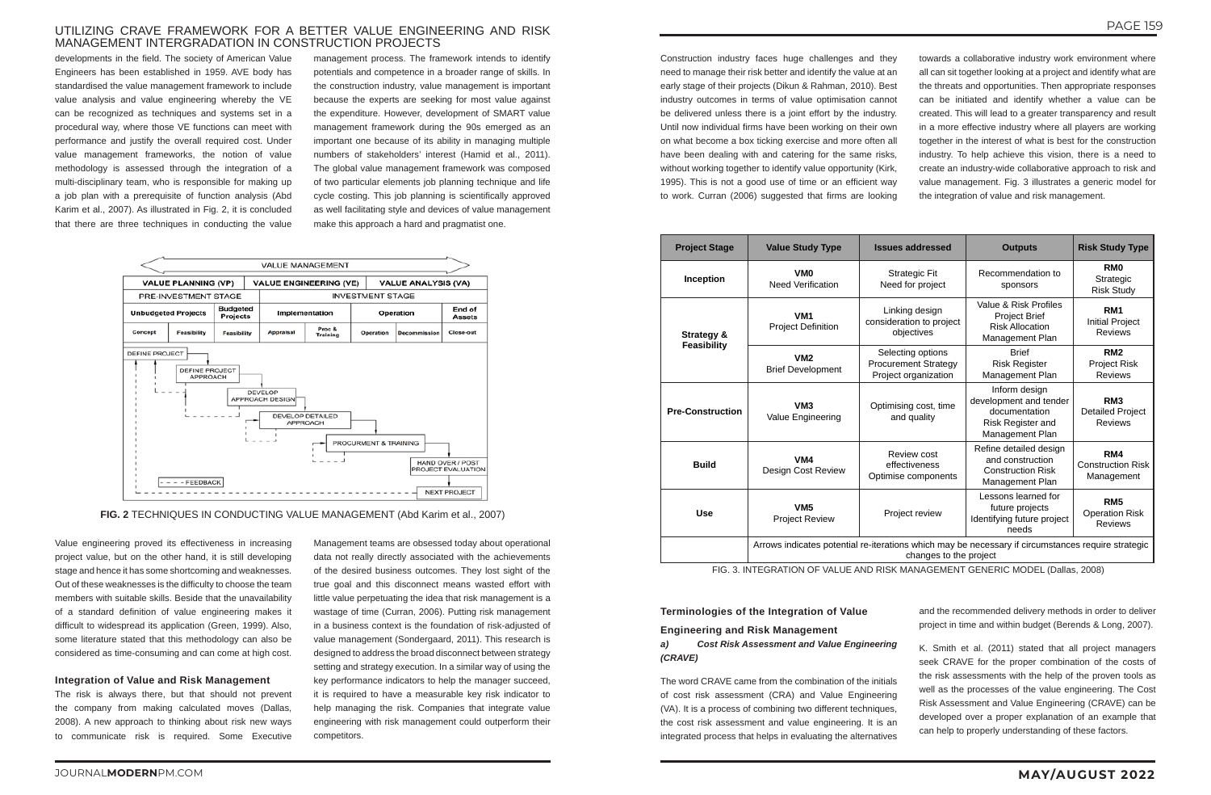# UTILIZING CRAVE FRAMEWORK FOR A BETTER VALUE ENGINEERING AND RISK MANAGEMENT INTERGRADATION IN CONSTRUCTION PROJECTS

developments in the field. The society of American Value Engineers has been established in 1959. AVE body has standardised the value management framework to include value analysis and value engineering whereby the VE can be recognized as techniques and systems set in a procedural way, where those VE functions can meet with performance and justify the overall required cost. Under value management frameworks, the notion of value methodology is assessed through the integration of a multi-disciplinary team, who is responsible for making up a job plan with a prerequisite of function analysis (Abd Karim et al., 2007). As illustrated in Fig. 2, it is concluded that there are three techniques in conducting the value

management process. The framework intends to identify potentials and competence in a broader range of skills. In the construction industry, value management is important because the experts are seeking for most value against the expenditure. However, development of SMART value management framework during the 90s emerged as an important one because of its ability in managing multiple numbers of stakeholders' interest (Hamid et al., 2011). The global value management framework was composed of two particular elements job planning technique and life cycle costing. This job planning is scientifically approved as well facilitating style and devices of value management make this approach a hard and pragmatist one.



Construction industry faces huge challenges and they need to manage their risk better and identify the value at an early stage of their projects (Dikun & Rahman, 2010). Best industry outcomes in terms of value optimisation cannot be delivered unless there is a joint effort by the industry. Until now individual firms have been working on their own on what become a box ticking exercise and more often all have been dealing with and catering for the same risks, without working together to identify value opportunity (Kirk, 1995). This is not a good use of time or an efficient way to work. Curran (2006) suggested that firms are looking

towards a collaborative industry work environment where all can sit together looking at a project and identify what are the threats and opportunities. Then appropriate responses can be initiated and identify whether a value can be created. This will lead to a greater transparency and result in a more effective industry where all players are working together in the interest of what is best for the construction industry. To help achieve this vision, there is a need to create an industry-wide collaborative approach to risk and value management. Fig. 3 illustrates a generic model for the integration of value and risk management.

**FIG. 2** TECHNIQUES IN CONDUCTING VALUE MANAGEMENT (Abd Karim et al., 2007)

Value engineering proved its effectiveness in increasing project value, but on the other hand, it is still developing stage and hence it has some shortcoming and weaknesses. Out of these weaknesses is the difficulty to choose the team members with suitable skills. Beside that the unavailability of a standard definition of value engineering makes it difficult to widespread its application (Green, 1999). Also, some literature stated that this methodology can also be considered as time-consuming and can come at high cost.

#### **Integration of Value and Risk Management**

The risk is always there, but that should not prevent the company from making calculated moves (Dallas, 2008). A new approach to thinking about risk new ways to communicate risk is required. Some Executive

Management teams are obsessed today about operational data not really directly associated with the achievements of the desired business outcomes. They lost sight of the true goal and this disconnect means wasted effort with little value perpetuating the idea that risk management is a wastage of time (Curran, 2006). Putting risk management in a business context is the foundation of risk-adjusted of value management (Sondergaard, 2011). This research is designed to address the broad disconnect between strategy setting and strategy execution. In a similar way of using the key performance indicators to help the manager succeed, it is required to have a measurable key risk indicator to help managing the risk. Companies that integrate value engineering with risk management could outperform their competitors.

| <b>Project Stage</b>    | <b>Value Study Type</b>                                                                                                      | <b>Issues addressed</b>                                                  | <b>Outputs</b>                                                                                                                              | <b>Risk Study Type</b>                                       |  |  |  |  |
|-------------------------|------------------------------------------------------------------------------------------------------------------------------|--------------------------------------------------------------------------|---------------------------------------------------------------------------------------------------------------------------------------------|--------------------------------------------------------------|--|--|--|--|
| Inception               | VM <sub>0</sub><br><b>Need Verification</b>                                                                                  | <b>Strategic Fit</b><br>Need for project                                 | Recommendation to<br>sponsors                                                                                                               |                                                              |  |  |  |  |
| Strategy &              | VM1<br><b>Project Definition</b>                                                                                             | Linking design<br>consideration to project<br>objectives                 | Value & Risk Profiles<br>Project Brief<br><b>Risk Allocation</b><br>Management Plan                                                         | RM1<br><b>Initial Project</b><br><b>Reviews</b>              |  |  |  |  |
| <b>Feasibility</b>      | VM2<br><b>Brief Development</b>                                                                                              | Selecting options<br><b>Procurement Strategy</b><br>Project organization | <b>Brief</b><br><b>Risk Register</b><br>Management Plan                                                                                     | RM <sub>2</sub><br>Project Risk<br><b>Reviews</b>            |  |  |  |  |
| <b>Pre-Construction</b> | VM <sub>3</sub><br>Value Engineering                                                                                         | Optimising cost, time<br>and quality                                     | Inform design<br>development and tender<br>documentation<br>Risk Register and<br>Management Plan                                            | RM <sub>3</sub><br><b>Detailed Project</b><br><b>Reviews</b> |  |  |  |  |
| <b>Build</b>            | VM4<br>Design Cost Review                                                                                                    | Review cost<br>effectiveness<br>Optimise components                      | Refine detailed design<br>and construction<br><b>Construction Risk</b><br>Management Plan                                                   | RM4<br><b>Construction Risk</b><br>Management                |  |  |  |  |
| <b>Use</b>              | VM <sub>5</sub><br><b>Project Review</b>                                                                                     | Project review                                                           | Lessons learned for<br>RM <sub>5</sub><br>future projects<br><b>Operation Risk</b><br>Identifying future project<br><b>Reviews</b><br>needs |                                                              |  |  |  |  |
|                         | Arrows indicates potential re-iterations which may be necessary if circumstances require strategic<br>changes to the project |                                                                          |                                                                                                                                             |                                                              |  |  |  |  |

FIG. 3. INTEGRATION OF VALUE AND RISK MANAGEMENT GENERIC MODEL (Dallas, 2008)

#### **Terminologies of the Integration of Value**

#### **Engineering and Risk Management**

*a) Cost Risk Assessment and Value Engineering (CRAVE)*

The word CRAVE came from the combination of the initials of cost risk assessment (CRA) and Value Engineering (VA). It is a process of combining two different techniques, the cost risk assessment and value engineering. It is an integrated process that helps in evaluating the alternatives and the recommended delivery methods in order to deliver project in time and within budget (Berends & Long, 2007).

K. Smith et al. (2011) stated that all project managers seek CRAVE for the proper combination of the costs of the risk assessments with the help of the proven tools as well as the processes of the value engineering. The Cost Risk Assessment and Value Engineering (CRAVE) can be developed over a proper explanation of an example that can help to properly understanding of these factors.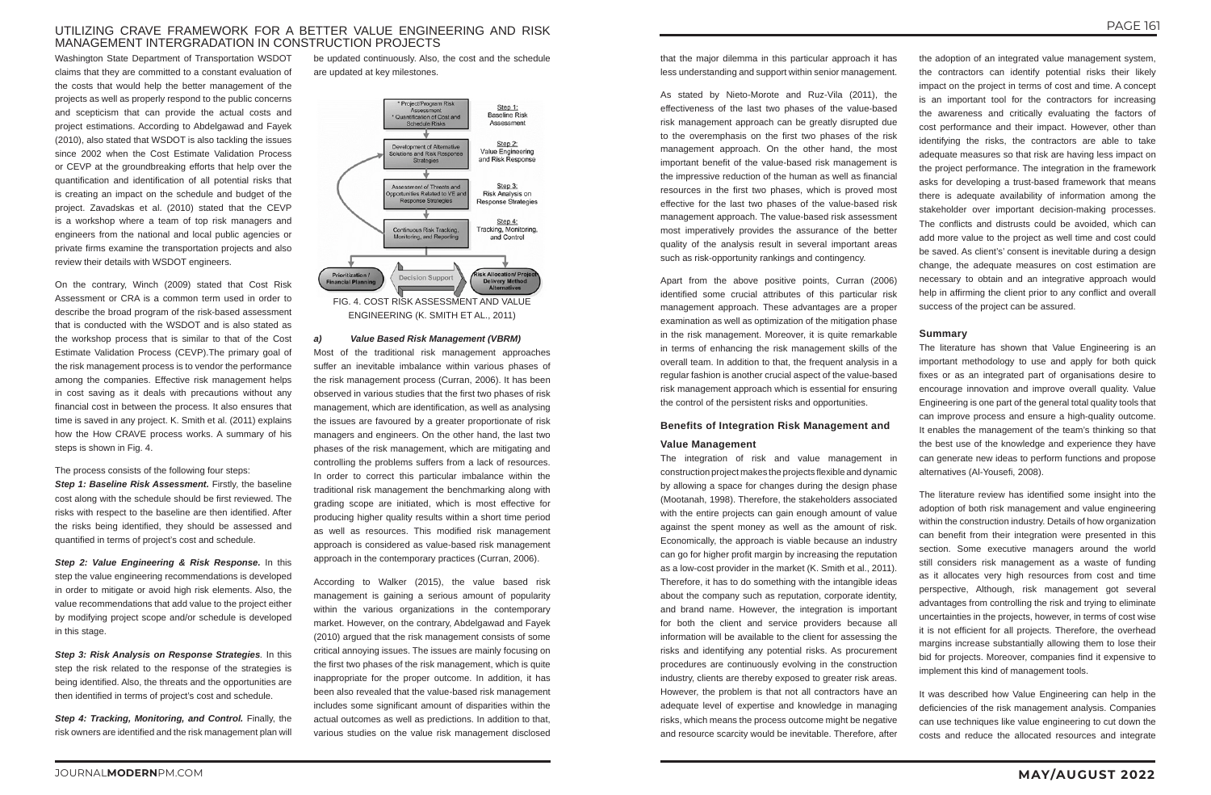# UTILIZING CRAVE FRAMEWORK FOR A BETTER VALUE ENGINEERING AND RISK MANAGEMENT INTERGRADATION IN CONSTRUCTION PROJECTS

Washington State Department of Transportation WSDOT claims that they are committed to a constant evaluation of the costs that would help the better management of the projects as well as properly respond to the public concerns and scepticism that can provide the actual costs and project estimations. According to Abdelgawad and Fayek (2010), also stated that WSDOT is also tackling the issues since 2002 when the Cost Estimate Validation Process or CEVP at the groundbreaking efforts that help over the quantification and identification of all potential risks that is creating an impact on the schedule and budget of the project. Zavadskas et al. (2010) stated that the CEVP is a workshop where a team of top risk managers and engineers from the national and local public agencies or private firms examine the transportation projects and also review their details with WSDOT engineers.

On the contrary, Winch (2009) stated that Cost Risk Assessment or CRA is a common term used in order to describe the broad program of the risk-based assessment that is conducted with the WSDOT and is also stated as the workshop process that is similar to that of the Cost Estimate Validation Process (CEVP).The primary goal of the risk management process is to vendor the performance among the companies. Effective risk management helps in cost saving as it deals with precautions without any financial cost in between the process. It also ensures that time is saved in any project. K. Smith et al. (2011) explains how the How CRAVE process works. A summary of his steps is shown in Fig. 4.

The process consists of the following four steps: *Step 1: Baseline Risk Assessment. Firstly, the baseline* cost along with the schedule should be first reviewed. The risks with respect to the baseline are then identified. After the risks being identified, they should be assessed and quantified in terms of project's cost and schedule.

*Step 2: Value Engineering & Risk Response.* In this step the value engineering recommendations is developed in order to mitigate or avoid high risk elements. Also, the value recommendations that add value to the project either by modifying project scope and/or schedule is developed in this stage.

*Step 3: Risk Analysis on Response Strategies.* In this step the risk related to the response of the strategies is being identified. Also, the threats and the opportunities are then identified in terms of project's cost and schedule.

*Step 4: Tracking, Monitoring, and Control.* Finally, the risk owners are identified and the risk management plan will

be updated continuously. Also, the cost and the schedule are updated at key milestones.



ENGINEERING (K. SMITH ET AL., 2011)

#### *a) Value Based Risk Management (VBRM)*

Most of the traditional risk management approaches suffer an inevitable imbalance within various phases of the risk management process (Curran, 2006). It has been observed in various studies that the first two phases of risk management, which are identification, as well as analysing the issues are favoured by a greater proportionate of risk managers and engineers. On the other hand, the last two phases of the risk management, which are mitigating and controlling the problems suffers from a lack of resources. In order to correct this particular imbalance within the traditional risk management the benchmarking along with grading scope are initiated, which is most effective for producing higher quality results within a short time period as well as resources. This modified risk management approach is considered as value-based risk management approach in the contemporary practices (Curran, 2006).

According to Walker (2015), the value based risk management is gaining a serious amount of popularity within the various organizations in the contemporary market. However, on the contrary, Abdelgawad and Fayek (2010) argued that the risk management consists of some critical annoying issues. The issues are mainly focusing on the first two phases of the risk management, which is quite inappropriate for the proper outcome. In addition, it has been also revealed that the value-based risk management includes some significant amount of disparities within the actual outcomes as well as predictions. In addition to that, various studies on the value risk management disclosed

that the major dilemma in this particular approach it has less understanding and support within senior management.

As stated by Nieto-Morote and Ruz-Vila (2011), the effectiveness of the last two phases of the value-based risk management approach can be greatly disrupted due to the overemphasis on the first two phases of the risk management approach. On the other hand, the most important benefit of the value-based risk management is the impressive reduction of the human as well as financial resources in the first two phases, which is proved most effective for the last two phases of the value-based risk management approach. The value-based risk assessment most imperatively provides the assurance of the better quality of the analysis result in several important areas such as risk-opportunity rankings and contingency.

Apart from the above positive points, Curran (2006) identified some crucial attributes of this particular risk management approach. These advantages are a proper examination as well as optimization of the mitigation phase in the risk management. Moreover, it is quite remarkable in terms of enhancing the risk management skills of the overall team. In addition to that, the frequent analysis in a regular fashion is another crucial aspect of the value-based risk management approach which is essential for ensuring the control of the persistent risks and opportunities.

### **Benefits of Integration Risk Management and**

### **Value Management**

The integration of risk and value management in construction project makes the projects flexible and dynamic by allowing a space for changes during the design phase (Mootanah, 1998). Therefore, the stakeholders associated with the entire projects can gain enough amount of value against the spent money as well as the amount of risk. Economically, the approach is viable because an industry can go for higher profit margin by increasing the reputation as a low-cost provider in the market (K. Smith et al., 2011). Therefore, it has to do something with the intangible ideas about the company such as reputation, corporate identity, and brand name. However, the integration is important for both the client and service providers because all information will be available to the client for assessing the risks and identifying any potential risks. As procurement procedures are continuously evolving in the construction industry, clients are thereby exposed to greater risk areas. However, the problem is that not all contractors have an adequate level of expertise and knowledge in managing risks, which means the process outcome might be negative and resource scarcity would be inevitable. Therefore, after

the adoption of an integrated value management system, the contractors can identify potential risks their likely impact on the project in terms of cost and time. A concept is an important tool for the contractors for increasing the awareness and critically evaluating the factors of cost performance and their impact. However, other than identifying the risks, the contractors are able to take adequate measures so that risk are having less impact on the project performance. The integration in the framework asks for developing a trust-based framework that means there is adequate availability of information among the stakeholder over important decision-making processes. The conflicts and distrusts could be avoided, which can add more value to the project as well time and cost could be saved. As client's' consent is inevitable during a design change, the adequate measures on cost estimation are necessary to obtain and an integrative approach would help in affirming the client prior to any conflict and overall success of the project can be assured.

# **Summary**

The literature has shown that Value Engineering is an important methodology to use and apply for both quick fixes or as an integrated part of organisations desire to encourage innovation and improve overall quality. Value Engineering is one part of the general total quality tools that can improve process and ensure a high-quality outcome. It enables the management of the team's thinking so that the best use of the knowledge and experience they have can generate new ideas to perform functions and propose alternatives (Al-Yousefi, 2008).

The literature review has identified some insight into the adoption of both risk management and value engineering within the construction industry. Details of how organization can benefit from their integration were presented in this section. Some executive managers around the world still considers risk management as a waste of funding as it allocates very high resources from cost and time perspective, Although, risk management got several advantages from controlling the risk and trying to eliminate uncertainties in the projects, however, in terms of cost wise it is not efficient for all projects. Therefore, the overhead margins increase substantially allowing them to lose their bid for projects. Moreover, companies find it expensive to implement this kind of management tools.

It was described how Value Engineering can help in the deficiencies of the risk management analysis. Companies can use techniques like value engineering to cut down the costs and reduce the allocated resources and integrate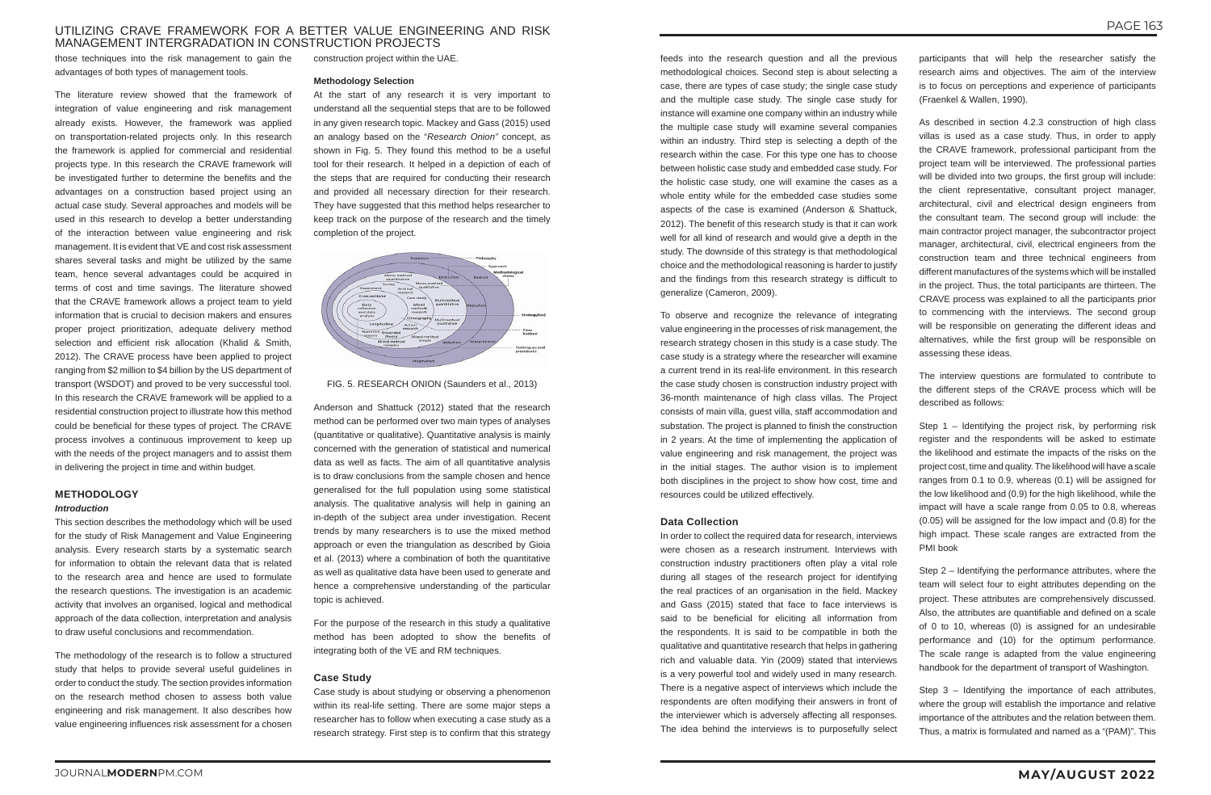# UTILIZING CRAVE FRAMEWORK FOR A BETTER VALUE ENGINEERING AND RISK MANAGEMENT INTERGRADATION IN CONSTRUCTION PROJECTS

those techniques into the risk management to gain the advantages of both types of management tools.

The literature review showed that the framework of integration of value engineering and risk management already exists. However, the framework was applied on transportation-related projects only. In this research the framework is applied for commercial and residential projects type. In this research the CRAVE framework will be investigated further to determine the benefits and the advantages on a construction based project using an actual case study. Several approaches and models will be used in this research to develop a better understanding of the interaction between value engineering and risk management. It is evident that VE and cost risk assessment shares several tasks and might be utilized by the same team, hence several advantages could be acquired in terms of cost and time savings. The literature showed that the CRAVE framework allows a project team to yield information that is crucial to decision makers and ensures proper project prioritization, adequate delivery method selection and efficient risk allocation (Khalid & Smith, 2012). The CRAVE process have been applied to project ranging from \$2 million to \$4 billion by the US department of transport (WSDOT) and proved to be very successful tool. In this research the CRAVE framework will be applied to a residential construction project to illustrate how this method could be beneficial for these types of project. The CRAVE process involves a continuous improvement to keep up with the needs of the project managers and to assist them in delivering the project in time and within budget.

# **METHODOLOGY** *Introduction*

This section describes the methodology which will be used for the study of Risk Management and Value Engineering analysis. Every research starts by a systematic search for information to obtain the relevant data that is related to the research area and hence are used to formulate the research questions. The investigation is an academic activity that involves an organised, logical and methodical approach of the data collection, interpretation and analysis to draw useful conclusions and recommendation.

The methodology of the research is to follow a structured study that helps to provide several useful guidelines in order to conduct the study. The section provides information on the research method chosen to assess both value engineering and risk management. It also describes how value engineering influences risk assessment for a chosen

construction project within the UAE.

#### **Methodology Selection**

At the start of any research it is very important to understand all the sequential steps that are to be followed in any given research topic. Mackey and Gass (2015) used an analogy based on the "*Research Onion"* concept, as shown in Fig. 5. They found this method to be a useful tool for their research. It helped in a depiction of each of the steps that are required for conducting their research and provided all necessary direction for their research. They have suggested that this method helps researcher to keep track on the purpose of the research and the timely completion of the project.



#### FIG. 5. RESEARCH ONION (Saunders et al., 2013)

Anderson and Shattuck (2012) stated that the research method can be performed over two main types of analyses (quantitative or qualitative). Quantitative analysis is mainly concerned with the generation of statistical and numerical data as well as facts. The aim of all quantitative analysis is to draw conclusions from the sample chosen and hence generalised for the full population using some statistical analysis. The qualitative analysis will help in gaining an in-depth of the subject area under investigation. Recent trends by many researchers is to use the mixed method approach or even the triangulation as described by Gioia et al. (2013) where a combination of both the quantitative as well as qualitative data have been used to generate and hence a comprehensive understanding of the particular topic is achieved.

For the purpose of the research in this study a qualitative method has been adopted to show the benefits of integrating both of the VE and RM techniques.

### **Case Study**

Case study is about studying or observing a phenomenon within its real-life setting. There are some major steps a researcher has to follow when executing a case study as a research strategy. First step is to confirm that this strategy

feeds into the research question and all the previous methodological choices. Second step is about selecting a case, there are types of case study; the single case study and the multiple case study. The single case study for instance will examine one company within an industry while the multiple case study will examine several companies within an industry. Third step is selecting a depth of the research within the case. For this type one has to choose between holistic case study and embedded case study. For the holistic case study, one will examine the cases as a whole entity while for the embedded case studies some aspects of the case is examined (Anderson & Shattuck, 2012). The benefit of this research study is that it can work well for all kind of research and would give a depth in the study. The downside of this strategy is that methodological choice and the methodological reasoning is harder to justify and the findings from this research strategy is difficult to generalize (Cameron, 2009).

To observe and recognize the relevance of integrating value engineering in the processes of risk management, the research strategy chosen in this study is a case study. The case study is a strategy where the researcher will examine a current trend in its real-life environment. In this research the case study chosen is construction industry project with 36-month maintenance of high class villas. The Project consists of main villa, guest villa, staff accommodation and substation. The project is planned to finish the construction in 2 years. At the time of implementing the application of value engineering and risk management, the project was in the initial stages. The author vision is to implement both disciplines in the project to show how cost, time and resources could be utilized effectively.

#### **Data Collection**

In order to collect the required data for research, interviews were chosen as a research instrument. Interviews with construction industry practitioners often play a vital role during all stages of the research project for identifying the real practices of an organisation in the field. Mackey and Gass (2015) stated that face to face interviews is said to be beneficial for eliciting all information from the respondents. It is said to be compatible in both the qualitative and quantitative research that helps in gathering rich and valuable data. Yin (2009) stated that interviews is a very powerful tool and widely used in many research. There is a negative aspect of interviews which include the respondents are often modifying their answers in front of the interviewer which is adversely affecting all responses. The idea behind the interviews is to purposefully select

participants that will help the researcher satisfy the research aims and objectives. The aim of the interview is to focus on perceptions and experience of participants (Fraenkel & Wallen, 1990).

As described in section 4.2.3 construction of high class villas is used as a case study. Thus, in order to apply the CRAVE framework, professional participant from the project team will be interviewed. The professional parties will be divided into two groups, the first group will include: the client representative, consultant project manager, architectural, civil and electrical design engineers from the consultant team. The second group will include: the main contractor project manager, the subcontractor project manager, architectural, civil, electrical engineers from the construction team and three technical engineers from different manufactures of the systems which will be installed in the project. Thus, the total participants are thirteen. The CRAVE process was explained to all the participants prior to commencing with the interviews. The second group will be responsible on generating the different ideas and alternatives, while the first group will be responsible on assessing these ideas.

The interview questions are formulated to contribute to the different steps of the CRAVE process which will be described as follows:

Step 1 – Identifying the project risk, by performing risk register and the respondents will be asked to estimate the likelihood and estimate the impacts of the risks on the project cost, time and quality. The likelihood will have a scale ranges from 0.1 to 0.9, whereas (0.1) will be assigned for the low likelihood and (0.9) for the high likelihood, while the impact will have a scale range from 0.05 to 0.8, whereas (0.05) will be assigned for the low impact and (0.8) for the high impact. These scale ranges are extracted from the PMI book

Step 2 – Identifying the performance attributes, where the team will select four to eight attributes depending on the project. These attributes are comprehensively discussed. Also, the attributes are quantifiable and defined on a scale of 0 to 10, whereas (0) is assigned for an undesirable performance and (10) for the optimum performance. The scale range is adapted from the value engineering handbook for the department of transport of Washington.

Step 3 – Identifying the importance of each attributes, where the group will establish the importance and relative importance of the attributes and the relation between them. Thus, a matrix is formulated and named as a "(PAM)". This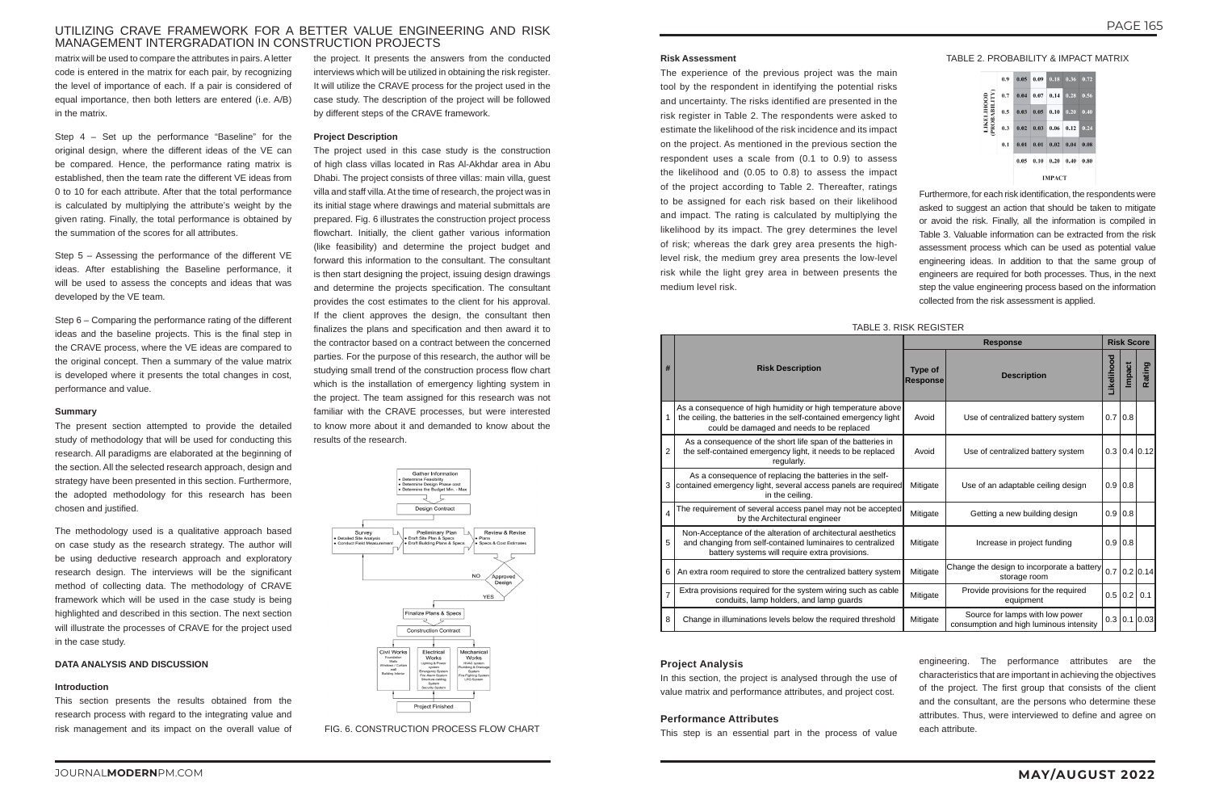# UTILIZING CRAVE FRAMEWORK FOR A BETTER VALUE ENGINEERING AND RISK MANAGEMENT INTERGRADATION IN CONSTRUCTION PROJECTS

matrix will be used to compare the attributes in pairs. A letter code is entered in the matrix for each pair, by recognizing the level of importance of each. If a pair is considered of equal importance, then both letters are entered (i.e. A/B) in the matrix.

Step 4 – Set up the performance "Baseline" for the original design, where the different ideas of the VE can be compared. Hence, the performance rating matrix is established, then the team rate the different VE ideas from 0 to 10 for each attribute. After that the total performance is calculated by multiplying the attribute's weight by the given rating. Finally, the total performance is obtained by the summation of the scores for all attributes.

Step 5 – Assessing the performance of the different VE ideas. After establishing the Baseline performance, it will be used to assess the concepts and ideas that was developed by the VE team.

Step 6 – Comparing the performance rating of the different ideas and the baseline projects. This is the final step in the CRAVE process, where the VE ideas are compared to the original concept. Then a summary of the value matrix is developed where it presents the total changes in cost, performance and value.

#### **Summary**

The present section attempted to provide the detailed study of methodology that will be used for conducting this research. All paradigms are elaborated at the beginning of the section. All the selected research approach, design and strategy have been presented in this section. Furthermore, the adopted methodology for this research has been chosen and justified.

The methodology used is a qualitative approach based on case study as the research strategy. The author will be using deductive research approach and exploratory research design. The interviews will be the significant method of collecting data. The methodology of CRAVE framework which will be used in the case study is being highlighted and described in this section. The next section will illustrate the processes of CRAVE for the project used in the case study.

#### **DATA ANALYSIS AND DISCUSSION**

#### **Introduction**

This section presents the results obtained from the research process with regard to the integrating value and risk management and its impact on the overall value of

the project. It presents the answers from the conducted interviews which will be utilized in obtaining the risk register. It will utilize the CRAVE process for the project used in the case study. The description of the project will be followed by different steps of the CRAVE framework.

#### **Project Description**

The project used in this case study is the construction of high class villas located in Ras Al-Akhdar area in Abu Dhabi. The project consists of three villas: main villa, guest villa and staff villa. At the time of research, the project was in its initial stage where drawings and material submittals are prepared. Fig. 6 illustrates the construction project process flowchart. Initially, the client gather various information (like feasibility) and determine the project budget and forward this information to the consultant. The consultant is then start designing the project, issuing design drawings and determine the projects specification. The consultant provides the cost estimates to the client for his approval. If the client approves the design, the consultant then finalizes the plans and specification and then award it to the contractor based on a contract between the concerned parties. For the purpose of this research, the author will be studying small trend of the construction process flow chart which is the installation of emergency lighting system in the project. The team assigned for this research was not familiar with the CRAVE processes, but were interested to know more about it and demanded to know about the results of the research.



#### FIG. 6. CONSTRUCTION PROCESS FLOW CHART

### TABLE 3. RISK REGISTER

|                |                                                                                                                                                                              |          | <b>Risk Score</b>                                                          |            |               |                        |
|----------------|------------------------------------------------------------------------------------------------------------------------------------------------------------------------------|----------|----------------------------------------------------------------------------|------------|---------------|------------------------|
| #              | <b>Risk Description</b><br><b>Response</b>                                                                                                                                   |          | <b>Description</b>                                                         | Likelihood | <b>Impact</b> | Rating                 |
| 1              | As a consequence of high humidity or high temperature above<br>the ceiling, the batteries in the self-contained emergency light<br>could be damaged and needs to be replaced | Avoid    | Use of centralized battery system                                          | 0.710.8    |               |                        |
| $\overline{2}$ | As a consequence of the short life span of the batteries in<br>the self-contained emergency light, it needs to be replaced<br>regularly.                                     | Avoid    | Use of centralized battery system                                          |            |               | $0.3$   $0.4$   $0.12$ |
| 3              | As a consequence of replacing the batteries in the self-<br>contained emergency light, several access panels are required<br>in the ceiling.                                 | Mitigate | Use of an adaptable ceiling design                                         | 0.910.8    |               |                        |
| 4              | The requirement of several access panel may not be accepted<br>by the Architectural engineer                                                                                 | Mitigate | Getting a new building design                                              | 0.910.8    |               |                        |
| 5              | Non-Acceptance of the alteration of architectural aesthetics<br>and changing from self-contained luminaires to centralized<br>battery systems will require extra provisions. | Mitigate | Increase in project funding                                                | 0.910.8    |               |                        |
| 6              | An extra room required to store the centralized battery system                                                                                                               | Mitigate | Change the design to incorporate a battery<br>storage room                 |            |               | $0.7$ 0.2 0.14         |
| $\overline{7}$ | Extra provisions required for the system wiring such as cable<br>conduits, lamp holders, and lamp guards                                                                     | Mitigate | Provide provisions for the required<br>equipment                           |            | $0.5$ 0.2     | 0.1                    |
| 8              | Change in illuminations levels below the required threshold                                                                                                                  | Mitigate | Source for lamps with low power<br>consumption and high luminous intensity |            |               | $0.3$ 0.1 0.03         |

#### **Risk Assessment**

The experience of the previous project was the main tool by the respondent in identifying the potential risks and uncertainty. The risks identified are presented in the risk register in Table 2. The respondents were asked to estimate the likelihood of the risk incidence and its impact on the project. As mentioned in the previous section the respondent uses a scale from (0.1 to 0.9) to assess the likelihood and (0.05 to 0.8) to assess the impact of the project according to Table 2. Thereafter, ratings to be assigned for each risk based on their likelihood and impact. The rating is calculated by multiplying the likelihood by its impact. The grey determines the level of risk; whereas the dark grey area presents the highlevel risk, the medium grey area presents the low-level risk while the light grey area in between presents the medium level risk.

TABLE 2. PROBABILITY & IMPACT MATRIX



Furthermore, for each risk identification, the respondents were asked to suggest an action that should be taken to mitigate or avoid the risk. Finally, all the information is compiled in Table 3. Valuable information can be extracted from the risk assessment process which can be used as potential value engineering ideas. In addition to that the same group of engineers are required for both processes. Thus, in the next step the value engineering process based on the information collected from the risk assessment is applied.

#### **Project Analysis**

In this section, the project is analysed through the use of value matrix and performance attributes, and project cost.

#### **Performance Attributes**

This step is an essential part in the process of value

engineering. The performance attributes are the characteristics that are important in achieving the objectives of the project. The first group that consists of the client and the consultant, are the persons who determine these attributes. Thus, were interviewed to define and agree on each attribute.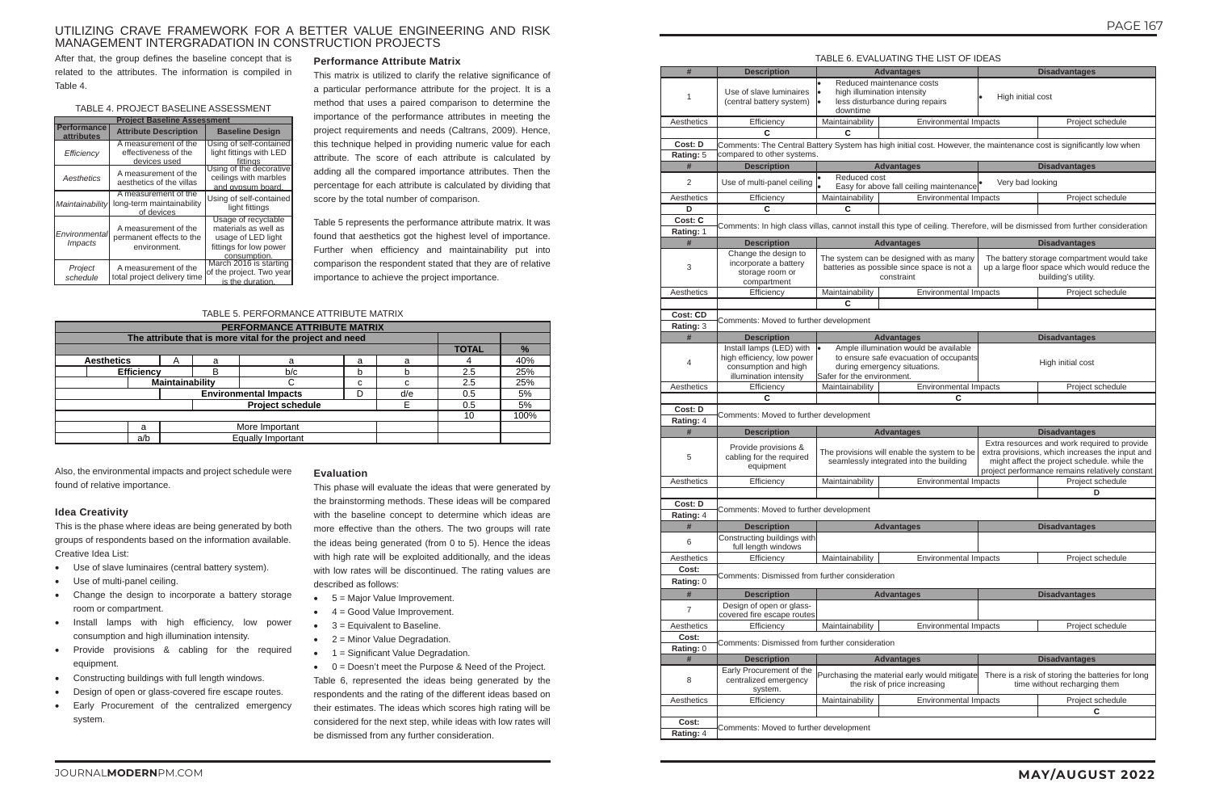# UTILIZING CRAVE FRAMEWORK FOR A BETTER VALUE ENGINEERING AND RISK MANAGEMENT INTERGRADATION IN CONSTRUCTION PROJECTS

After that, the group defines the baseline concept that is related to the attributes. The information is compiled in Table 4.

# TABLE 4. PROJECT BASELINE ASSESSMENT

| <b>Project Baseline Assessment</b>      |                                                                  |                                                                                                             |  |  |  |  |  |  |  |  |
|-----------------------------------------|------------------------------------------------------------------|-------------------------------------------------------------------------------------------------------------|--|--|--|--|--|--|--|--|
| <b>Performance</b><br><b>attributes</b> | <b>Attribute Description</b>                                     | <b>Baseline Design</b>                                                                                      |  |  |  |  |  |  |  |  |
| Efficiency                              | A measurement of the<br>effectiveness of the<br>devices used     | Using of self-contained<br>light fittings with LED<br><u>fittinas</u>                                       |  |  |  |  |  |  |  |  |
| Aesthetics                              | A measurement of the<br>aesthetics of the villas                 | Using of the decorative<br>ceilings with marbles<br>and gypsum board.                                       |  |  |  |  |  |  |  |  |
| Maintainability                         | A measurement of the<br>long-term maintainability<br>of devices  | Using of self-contained<br>light fittings                                                                   |  |  |  |  |  |  |  |  |
| Environmental<br><i>Impacts</i>         | A measurement of the<br>permanent effects to the<br>environment. | Usage of recyclable<br>materials as well as<br>usage of LED light<br>fittings for low power<br>consumption. |  |  |  |  |  |  |  |  |
| Project<br>schedule                     | A measurement of the<br>total project delivery time              | March 2016 is starting<br>of the project. Two year<br>is the duration.                                      |  |  |  |  |  |  |  |  |

#### **Performance Attribute Matrix**

This matrix is utilized to clarify the relative significance of a particular performance attribute for the project. It is a method that uses a paired comparison to determine the importance of the performance attributes in meeting the project requirements and needs (Caltrans, 2009). Hence, this technique helped in providing numeric value for each attribute. The score of each attribute is calculated by adding all the compared importance attributes. Then the percentage for each attribute is calculated by dividing that score by the total number of comparison.

Table 5 represents the performance attribute matrix. It was found that aesthetics got the highest level of importance. Further when efficiency and maintainability put into comparison the respondent stated that they are of relative importance to achieve the project importance.

### TABLE 5. PERFORMANCE ATTRIBUTE MATRIX

|                   | PERFORMANCE ATTRIBUTE MATRIX                              |   |   |                         |   |   |     |      |  |  |
|-------------------|-----------------------------------------------------------|---|---|-------------------------|---|---|-----|------|--|--|
|                   | The attribute that is more vital for the project and need |   |   |                         |   |   |     |      |  |  |
|                   |                                                           |   |   |                         |   |   |     |      |  |  |
| <b>Aesthetics</b> |                                                           | A | a | a                       | a | a |     | 40%  |  |  |
|                   | <b>Efficiency</b><br>b/c<br>B<br>b                        |   |   |                         |   |   |     | 25%  |  |  |
|                   | Maintainability<br>c                                      |   |   |                         |   |   |     | 25%  |  |  |
|                   | <b>Environmental Impacts</b><br>d/e<br>D                  |   |   |                         |   |   |     | 5%   |  |  |
|                   |                                                           |   |   | <b>Project schedule</b> |   |   | 0.5 | 5%   |  |  |
|                   |                                                           |   |   |                         |   |   |     | 100% |  |  |
|                   | More Important<br>a                                       |   |   |                         |   |   |     |      |  |  |
|                   | a/b                                                       |   |   | Equally Important       |   |   |     |      |  |  |

Also, the environmental impacts and project schedule were found of relative importance.

### **Idea Creativity**

This is the phase where ideas are being generated by both groups of respondents based on the information available. Creative Idea List:

- • Use of slave luminaires (central battery system).
- Use of multi-panel ceiling.
- Change the design to incorporate a battery storage room or compartment.
- • Install lamps with high efficiency, low power consumption and high illumination intensity.
- • Provide provisions & cabling for the required equipment.
- Constructing buildings with full length windows.
- Design of open or glass-covered fire escape routes.
- Early Procurement of the centralized emergency system.

#### **Evaluation**

This phase will evaluate the ideas that were generated by the brainstorming methods. These ideas will be compared with the baseline concept to determine which ideas are more effective than the others. The two groups will rate the ideas being generated (from 0 to 5). Hence the ideas with high rate will be exploited additionally, and the ideas with low rates will be discontinued. The rating values are described as follows:

- 5 = Major Value Improvement.
- $\bullet$  4 = Good Value Improvement.
- $\bullet$  3 = Equivalent to Baseline.
- $\bullet$  2 = Minor Value Degradation.
- 1 = Significant Value Degradation.

 $\bullet$  0 = Doesn't meet the Purpose & Need of the Project.

|                                                                 |                                                                                                                 | TABLE 6. EVALUATING THE LIST OF IDEAS                                                                                                                                                              |                                                                                                                    |  |  |  |  |
|-----------------------------------------------------------------|-----------------------------------------------------------------------------------------------------------------|----------------------------------------------------------------------------------------------------------------------------------------------------------------------------------------------------|--------------------------------------------------------------------------------------------------------------------|--|--|--|--|
|                                                                 | <b>Advantages</b>                                                                                               |                                                                                                                                                                                                    | <b>Disadvantages</b>                                                                                               |  |  |  |  |
| ٠<br>downtime                                                   | Reduced maintenance costs<br>high illumination intensity<br>less disturbance during repairs                     | High initial cost                                                                                                                                                                                  |                                                                                                                    |  |  |  |  |
| Maintainability                                                 | Environmental Impacts                                                                                           |                                                                                                                                                                                                    | Project schedule                                                                                                   |  |  |  |  |
| С                                                               |                                                                                                                 |                                                                                                                                                                                                    |                                                                                                                    |  |  |  |  |
|                                                                 |                                                                                                                 |                                                                                                                                                                                                    | ttery System has high initial cost. However, the maintenance cost is significantly low when                        |  |  |  |  |
| Reduced cost<br>٠                                               | <b>Advantages</b>                                                                                               |                                                                                                                                                                                                    | <b>Disadvantages</b>                                                                                               |  |  |  |  |
|                                                                 | Easy for above fall ceiling maintenance                                                                         | Very bad looking                                                                                                                                                                                   |                                                                                                                    |  |  |  |  |
| Maintainability                                                 | <b>Environmental Impacts</b>                                                                                    |                                                                                                                                                                                                    | Project schedule                                                                                                   |  |  |  |  |
| C                                                               |                                                                                                                 |                                                                                                                                                                                                    |                                                                                                                    |  |  |  |  |
|                                                                 |                                                                                                                 |                                                                                                                                                                                                    | las, cannot install this type of ceiling. Therefore, will be dismissed from further consideration                  |  |  |  |  |
|                                                                 | <b>Advantages</b>                                                                                               |                                                                                                                                                                                                    | <b>Disadvantages</b>                                                                                               |  |  |  |  |
|                                                                 | The system can be designed with as many<br>batteries as possible since space is not a<br>constraint             |                                                                                                                                                                                                    | The battery storage compartment would take<br>up a large floor space which would reduce the<br>building's utility. |  |  |  |  |
| Maintainability                                                 | <b>Environmental Impacts</b>                                                                                    |                                                                                                                                                                                                    | Project schedule                                                                                                   |  |  |  |  |
| С                                                               |                                                                                                                 |                                                                                                                                                                                                    |                                                                                                                    |  |  |  |  |
| r development                                                   |                                                                                                                 |                                                                                                                                                                                                    |                                                                                                                    |  |  |  |  |
|                                                                 | <b>Advantages</b>                                                                                               |                                                                                                                                                                                                    | <b>Disadvantages</b>                                                                                               |  |  |  |  |
| ٠<br>Safer for the environment.                                 | Ample illumination would be available<br>to ensure safe evacuation of occupants<br>during emergency situations. | High initial cost                                                                                                                                                                                  |                                                                                                                    |  |  |  |  |
| Maintainability                                                 | Environmental Impacts                                                                                           |                                                                                                                                                                                                    | Project schedule                                                                                                   |  |  |  |  |
|                                                                 | C                                                                                                               |                                                                                                                                                                                                    |                                                                                                                    |  |  |  |  |
| r development                                                   |                                                                                                                 |                                                                                                                                                                                                    |                                                                                                                    |  |  |  |  |
|                                                                 | <b>Advantages</b>                                                                                               | <b>Disadvantages</b>                                                                                                                                                                               |                                                                                                                    |  |  |  |  |
|                                                                 |                                                                                                                 | Extra resources and work required to provide<br>extra provisions, which increases the input and<br>might affect the project schedule. while the<br>project performance remains relatively constant |                                                                                                                    |  |  |  |  |
|                                                                 | The provisions will enable the system to be<br>seamlessly integrated into the building                          |                                                                                                                                                                                                    |                                                                                                                    |  |  |  |  |
| Maintainability                                                 | <b>Environmental Impacts</b>                                                                                    |                                                                                                                                                                                                    | Project schedule                                                                                                   |  |  |  |  |
|                                                                 |                                                                                                                 |                                                                                                                                                                                                    | D                                                                                                                  |  |  |  |  |
|                                                                 | <b>Advantages</b>                                                                                               |                                                                                                                                                                                                    | <b>Disadvantages</b>                                                                                               |  |  |  |  |
|                                                                 |                                                                                                                 |                                                                                                                                                                                                    |                                                                                                                    |  |  |  |  |
| Maintainability                                                 | Environmental Impacts                                                                                           |                                                                                                                                                                                                    | Project schedule                                                                                                   |  |  |  |  |
|                                                                 |                                                                                                                 |                                                                                                                                                                                                    |                                                                                                                    |  |  |  |  |
|                                                                 | <b>Advantages</b>                                                                                               |                                                                                                                                                                                                    | <b>Disadvantages</b>                                                                                               |  |  |  |  |
|                                                                 |                                                                                                                 |                                                                                                                                                                                                    |                                                                                                                    |  |  |  |  |
| Maintainability                                                 | <b>Environmental Impacts</b>                                                                                    |                                                                                                                                                                                                    | Project schedule                                                                                                   |  |  |  |  |
|                                                                 |                                                                                                                 |                                                                                                                                                                                                    |                                                                                                                    |  |  |  |  |
|                                                                 | <b>Advantages</b>                                                                                               |                                                                                                                                                                                                    | <b>Disadvantages</b>                                                                                               |  |  |  |  |
|                                                                 | Purchasing the material early would mitigate<br>the risk of price increasing                                    |                                                                                                                                                                                                    | There is a risk of storing the batteries for long<br>time without recharging them                                  |  |  |  |  |
| Maintainability                                                 | <b>Environmental Impacts</b>                                                                                    |                                                                                                                                                                                                    | Project schedule                                                                                                   |  |  |  |  |
| r development<br>further consideration<br>further consideration |                                                                                                                 |                                                                                                                                                                                                    | С                                                                                                                  |  |  |  |  |

Table 6, represented the ideas being generated by the respondents and the rating of the different ideas based on their estimates. The ideas which scores high rating will be considered for the next step, while ideas with low rates will be dismissed from any further consideration.

|                      |                                                                                                          |                            | TABLE 6. EVALUATING THE LIST OF IDEAS                                                                           |                      |                                                                                                                                                                                                  |  |  |  |  |
|----------------------|----------------------------------------------------------------------------------------------------------|----------------------------|-----------------------------------------------------------------------------------------------------------------|----------------------|--------------------------------------------------------------------------------------------------------------------------------------------------------------------------------------------------|--|--|--|--|
| $\#$                 | <b>Description</b>                                                                                       |                            | <b>Advantages</b>                                                                                               |                      | <b>Disadvantages</b>                                                                                                                                                                             |  |  |  |  |
| $\mathbf{1}$         | Use of slave luminaires<br>(central battery system)                                                      | downtime                   | Reduced maintenance costs<br>high illumination intensity<br>less disturbance during repairs                     | High initial cost    |                                                                                                                                                                                                  |  |  |  |  |
| Aesthetics           | Efficiency                                                                                               | Maintainability            | <b>Environmental Impacts</b>                                                                                    |                      | Project schedule                                                                                                                                                                                 |  |  |  |  |
|                      | C                                                                                                        | C                          |                                                                                                                 |                      |                                                                                                                                                                                                  |  |  |  |  |
| Cost: D              |                                                                                                          |                            |                                                                                                                 |                      | Comments: The Central Battery System has high initial cost. However, the maintenance cost is significantly low when                                                                              |  |  |  |  |
| Rating: 5            | compared to other systems.                                                                               |                            |                                                                                                                 |                      |                                                                                                                                                                                                  |  |  |  |  |
| #                    | <b>Description</b>                                                                                       |                            | <b>Advantages</b>                                                                                               | <b>Disadvantages</b> |                                                                                                                                                                                                  |  |  |  |  |
| 2                    | Use of multi-panel ceiling                                                                               | Reduced cost               | Easy for above fall ceiling maintenance                                                                         | Very bad looking     |                                                                                                                                                                                                  |  |  |  |  |
| Aesthetics           | Efficiency                                                                                               | Maintainability            | Environmental Impacts                                                                                           |                      | Project schedule                                                                                                                                                                                 |  |  |  |  |
| D                    | C                                                                                                        | C                          |                                                                                                                 |                      |                                                                                                                                                                                                  |  |  |  |  |
| Cost: C              |                                                                                                          |                            |                                                                                                                 |                      | Comments: In high class villas, cannot install this type of ceiling. Therefore, will be dismissed from further consideration                                                                     |  |  |  |  |
| Rating: 1<br>#       | <b>Description</b>                                                                                       |                            |                                                                                                                 |                      |                                                                                                                                                                                                  |  |  |  |  |
|                      |                                                                                                          |                            | <b>Advantages</b>                                                                                               |                      | <b>Disadvantages</b>                                                                                                                                                                             |  |  |  |  |
| 3                    | Change the design to<br>incorporate a battery<br>storage room or<br>compartment                          |                            | The system can be designed with as many<br>batteries as possible since space is not a<br>constraint             |                      | The battery storage compartment would take<br>up a large floor space which would reduce the<br>building's utility.                                                                               |  |  |  |  |
| Aesthetics           | Efficiency                                                                                               | Maintainability            | <b>Environmental Impacts</b>                                                                                    |                      | Project schedule                                                                                                                                                                                 |  |  |  |  |
|                      |                                                                                                          | C                          |                                                                                                                 |                      |                                                                                                                                                                                                  |  |  |  |  |
| <b>Cost: CD</b>      | Comments: Moved to further development                                                                   |                            |                                                                                                                 |                      |                                                                                                                                                                                                  |  |  |  |  |
| Rating: 3            |                                                                                                          |                            |                                                                                                                 |                      |                                                                                                                                                                                                  |  |  |  |  |
| #                    | <b>Description</b>                                                                                       |                            | <b>Advantages</b>                                                                                               |                      | <b>Disadvantages</b>                                                                                                                                                                             |  |  |  |  |
| 4                    | Install lamps (LED) with<br>high efficiency, low power<br>consumption and high<br>illumination intensity | Safer for the environment. | Ample illumination would be available<br>to ensure safe evacuation of occupants<br>during emergency situations. |                      | High initial cost                                                                                                                                                                                |  |  |  |  |
| Aesthetics           | Efficiency                                                                                               | Maintainability            | Environmental Impacts                                                                                           |                      | Project schedule                                                                                                                                                                                 |  |  |  |  |
|                      | C                                                                                                        |                            | C                                                                                                               |                      |                                                                                                                                                                                                  |  |  |  |  |
| Cost: D<br>Rating: 4 | Comments: Moved to further development                                                                   |                            |                                                                                                                 |                      |                                                                                                                                                                                                  |  |  |  |  |
| #                    | <b>Description</b>                                                                                       |                            | <b>Advantages</b>                                                                                               |                      | <b>Disadvantages</b>                                                                                                                                                                             |  |  |  |  |
| 5                    | Provide provisions &<br>cabling for the required<br>equipment                                            |                            | The provisions will enable the system to be<br>seamlessly integrated into the building                          |                      | Extra resources and work required to provide<br>extra provisions, which increases the input an<br>might affect the project schedule. while the<br>project performance remains relatively constai |  |  |  |  |
| Aesthetics           | Efficiency                                                                                               | Maintainability            | <b>Environmental Impacts</b>                                                                                    |                      | Project schedule                                                                                                                                                                                 |  |  |  |  |
|                      |                                                                                                          |                            |                                                                                                                 |                      | D                                                                                                                                                                                                |  |  |  |  |
| Cost: D              | Comments: Moved to further development                                                                   |                            |                                                                                                                 |                      |                                                                                                                                                                                                  |  |  |  |  |
| Rating: 4            |                                                                                                          |                            |                                                                                                                 |                      |                                                                                                                                                                                                  |  |  |  |  |
| #                    | <b>Description</b>                                                                                       |                            | <b>Advantages</b>                                                                                               |                      | <b>Disadvantages</b>                                                                                                                                                                             |  |  |  |  |
| 6                    | Constructing buildings with<br>full length windows                                                       |                            |                                                                                                                 |                      |                                                                                                                                                                                                  |  |  |  |  |
| Aesthetics           | Efficiency                                                                                               | Maintainability            | <b>Environmental Impacts</b>                                                                                    |                      | Project schedule                                                                                                                                                                                 |  |  |  |  |
| Cost:                | Comments: Dismissed from further consideration                                                           |                            |                                                                                                                 |                      |                                                                                                                                                                                                  |  |  |  |  |
| Rating: 0            |                                                                                                          |                            |                                                                                                                 |                      |                                                                                                                                                                                                  |  |  |  |  |
| #                    | <b>Description</b>                                                                                       |                            | <b>Advantages</b>                                                                                               |                      | <b>Disadvantages</b>                                                                                                                                                                             |  |  |  |  |
| $\overline{7}$       | Design of open or glass-<br>covered fire escape routes                                                   |                            |                                                                                                                 |                      |                                                                                                                                                                                                  |  |  |  |  |
| Aesthetics           | Efficiency                                                                                               | Maintainability            | <b>Environmental Impacts</b>                                                                                    |                      | Project schedule                                                                                                                                                                                 |  |  |  |  |
| Cost:                | Comments: Dismissed from further consideration                                                           |                            |                                                                                                                 |                      |                                                                                                                                                                                                  |  |  |  |  |
| Rating: 0            |                                                                                                          |                            |                                                                                                                 |                      |                                                                                                                                                                                                  |  |  |  |  |
| $\#$                 | <b>Description</b>                                                                                       |                            | <b>Advantages</b>                                                                                               |                      | <b>Disadvantages</b>                                                                                                                                                                             |  |  |  |  |
| 8                    | Early Procurement of the<br>centralized emergency<br>system.                                             |                            | Purchasing the material early would mitigate<br>the risk of price increasing                                    |                      | There is a risk of storing the batteries for long<br>time without recharging them                                                                                                                |  |  |  |  |
| Aesthetics           | Efficiency                                                                                               | Maintainability            | <b>Environmental Impacts</b>                                                                                    |                      | Project schedule                                                                                                                                                                                 |  |  |  |  |
|                      |                                                                                                          |                            |                                                                                                                 | С                    |                                                                                                                                                                                                  |  |  |  |  |
|                      |                                                                                                          |                            |                                                                                                                 |                      |                                                                                                                                                                                                  |  |  |  |  |
| Cost:                | Comments: Moved to further development                                                                   |                            |                                                                                                                 |                      |                                                                                                                                                                                                  |  |  |  |  |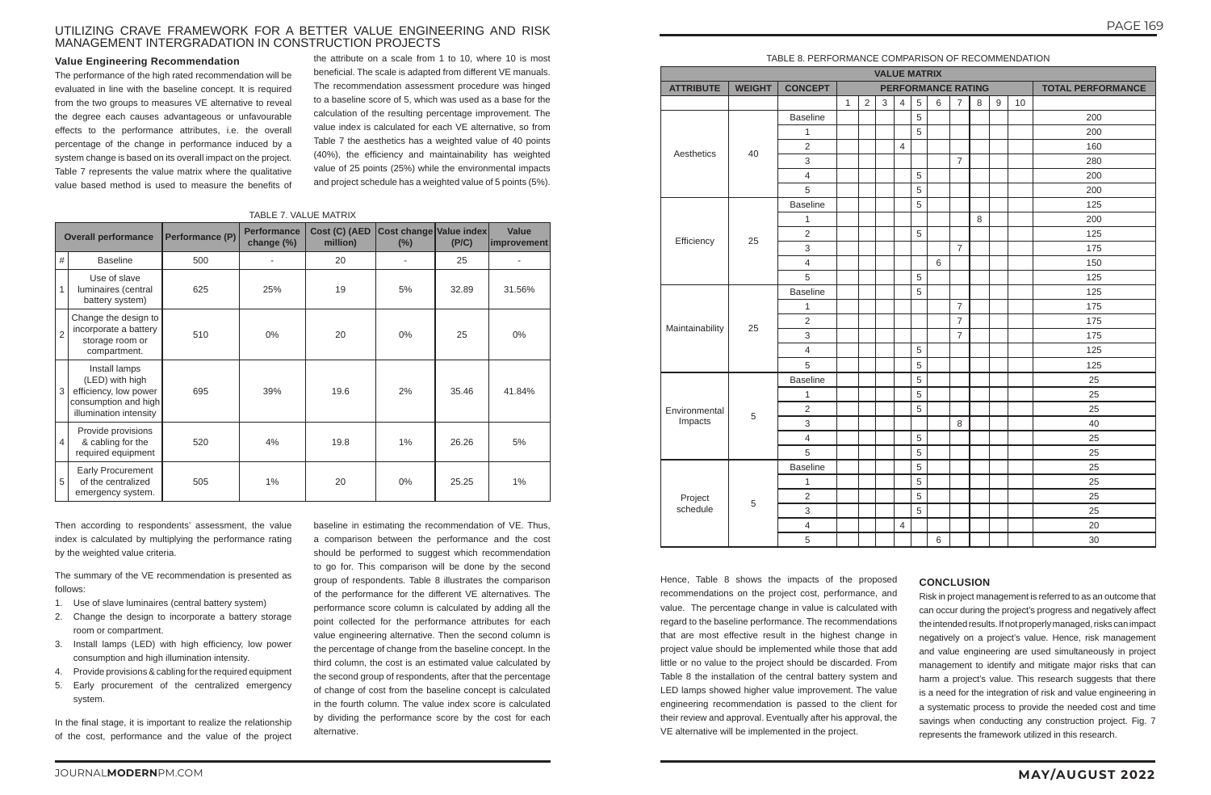# ARISON OF RECOMMENDATION

# JOURNAL**MODERN**PM.COM **MAY/AUGUST 2022**

# UTILIZING CRAVE FRAMEWORK FOR A BETTER VALUE ENGINEERING AND RISK MANAGEMENT INTERGRADATION IN CONSTRUCTION PROJECTS

#### TABLE 7. VALUE MATRIX

|                | <b>Overall performance</b>                                                                                  | Performance (P) | <b>Performance</b><br>change (%) | Cost (C) (AED<br>million) | Cost change Value index<br>(%) | (PIC) | <b>Value</b><br>improvement |
|----------------|-------------------------------------------------------------------------------------------------------------|-----------------|----------------------------------|---------------------------|--------------------------------|-------|-----------------------------|
| #              | <b>Baseline</b>                                                                                             | 500             | $\overline{a}$                   | 20                        |                                | 25    |                             |
| $\overline{1}$ | Use of slave<br>luminaires (central<br>battery system)                                                      | 625             | 25%                              | 19                        | 5%                             | 32.89 | 31.56%                      |
| $\overline{c}$ | Change the design to<br>incorporate a battery<br>storage room or<br>compartment.                            | 510             | $0\%$                            | 20                        | $0\%$                          | 25    | 0%                          |
| 3              | Install lamps<br>(LED) with high<br>efficiency, low power<br>consumption and high<br>illumination intensity | 695             | 39%                              | 19.6                      | 2%                             | 35.46 | 41.84%                      |
| $\overline{4}$ | Provide provisions<br>& cabling for the<br>required equipment                                               | 520             | 4%                               | 19.8                      | 1%                             | 26.26 | 5%                          |
| 5              | Early Procurement<br>of the centralized<br>emergency system.                                                | 505             | 1%                               | 20                        | 0%                             | 25.25 | 1%                          |

#### **Value Engineering Recommendation**

The performance of the high rated recommendation will be evaluated in line with the baseline concept. It is required from the two groups to measures VE alternative to reveal the degree each causes advantageous or unfavourable effects to the performance attributes, i.e. the overall percentage of the change in performance induced by a system change is based on its overall impact on the project. Table 7 represents the value matrix where the qualitative value based method is used to measure the benefits of

the attribute on a scale from 1 to 10, where 10 is most beneficial. The scale is adapted from different VE manuals. The recommendation assessment procedure was hinged to a baseline score of 5, which was used as a base for the calculation of the resulting percentage improvement. The value index is calculated for each VE alternative, so from Table 7 the aesthetics has a weighted value of 40 points (40%), the efficiency and maintainability has weighted value of 25 points (25%) while the environmental impacts and project schedule has a weighted value of 5 points (5%).

Then according to respondents' assessment, the value index is calculated by multiplying the performance rating by the weighted value criteria.

The summary of the VE recommendation is presented as follows:

- 1. Use of slave luminaires (central battery system)
- 2. Change the design to incorporate a battery storage room or compartment.
- 3. Install lamps (LED) with high efficiency, low power consumption and high illumination intensity.
- 4. Provide provisions & cabling for the required equipment
- 5. Early procurement of the centralized emergency system.

In the final stage, it is important to realize the relationship of the cost, performance and the value of the project

baseline in estimating the recommendation of VE. Thus, a comparison between the performance and the cost should be performed to suggest which recommendation to go for. This comparison will be done by the second group of respondents. Table 8 illustrates the comparison of the performance for the different VE alternatives. The performance score column is calculated by adding all the point collected for the performance attributes for each value engineering alternative. Then the second column is the percentage of change from the baseline concept. In the third column, the cost is an estimated value calculated by the second group of respondents, after that the percentage of change of cost from the baseline concept is calculated in the fourth column. The value index score is calculated by dividing the performance score by the cost for each alternative.

| <b>TABLE 8. PERFORMANCE COMF</b> |
|----------------------------------|
|----------------------------------|

|                  | <b>VALUE MATRIX</b> |                 |              |            |            |                |   |                           |                |   |             |    |                          |
|------------------|---------------------|-----------------|--------------|------------|------------|----------------|---|---------------------------|----------------|---|-------------|----|--------------------------|
| <b>ATTRIBUTE</b> | <b>WEIGHT</b>       | <b>CONCEPT</b>  |              |            |            |                |   | <b>PERFORMANCE RATING</b> |                |   |             |    | <b>TOTAL PERFORMANCE</b> |
|                  |                     |                 | $\mathbf{1}$ | $\sqrt{2}$ | $\sqrt{3}$ | $\overline{4}$ | 5 | $6\,$                     | $\overline{7}$ | 8 | $\mathsf g$ | 10 |                          |
|                  |                     | <b>Baseline</b> |              |            |            |                | 5 |                           |                |   |             |    | 200                      |
|                  |                     | $\mathbf 1$     |              |            |            |                | 5 |                           |                |   |             |    | 200                      |
| Aesthetics       | 40                  | $\overline{c}$  |              |            |            | $\overline{4}$ |   |                           |                |   |             |    | 160                      |
|                  |                     | 3               |              |            |            |                |   |                           | $\overline{7}$ |   |             |    | 280                      |
|                  |                     | $\overline{4}$  |              |            |            |                | 5 |                           |                |   |             |    | 200                      |
|                  |                     | 5               |              |            |            |                | 5 |                           |                |   |             |    | 200                      |
|                  |                     | <b>Baseline</b> |              |            |            |                | 5 |                           |                |   |             |    | 125                      |
|                  |                     | $\mathbf 1$     |              |            |            |                |   |                           |                | 8 |             |    | 200                      |
|                  | 25                  | $\overline{c}$  |              |            |            |                | 5 |                           |                |   |             |    | 125                      |
| Efficiency       |                     | 3               |              |            |            |                |   |                           | $\overline{7}$ |   |             |    | 175                      |
|                  |                     | $\overline{4}$  |              |            |            |                |   | $\,6\,$                   |                |   |             |    | 150                      |
|                  |                     | 5               |              |            |            |                | 5 |                           |                |   |             |    | 125                      |
|                  |                     | <b>Baseline</b> |              |            |            |                | 5 |                           |                |   |             |    | 125                      |
|                  | 25                  | $\mathbf 1$     |              |            |            |                |   |                           | $\overline{7}$ |   |             |    | 175                      |
|                  |                     | $\overline{2}$  |              |            |            |                |   |                           | $\overline{7}$ |   |             |    | 175                      |
| Maintainability  |                     | 3               |              |            |            |                |   |                           | $\overline{7}$ |   |             |    | 175                      |
|                  |                     | $\overline{4}$  |              |            |            |                | 5 |                           |                |   |             |    | 125                      |
|                  |                     | 5               |              |            |            |                | 5 |                           |                |   |             |    | 125                      |
|                  |                     | <b>Baseline</b> |              |            |            |                | 5 |                           |                |   |             |    | 25                       |
|                  |                     | $\mathbf 1$     |              |            |            |                | 5 |                           |                |   |             |    | 25                       |
| Environmental    |                     | $\overline{c}$  |              |            |            |                | 5 |                           |                |   |             |    | 25                       |
| Impacts          | 5                   | 3               |              |            |            |                |   |                           | 8              |   |             |    | 40                       |
|                  |                     | $\overline{4}$  |              |            |            |                | 5 |                           |                |   |             |    | 25                       |
|                  |                     | 5               |              |            |            |                | 5 |                           |                |   |             |    | 25                       |
|                  |                     | <b>Baseline</b> |              |            |            |                | 5 |                           |                |   |             |    | 25                       |
|                  |                     | $\mathbf 1$     |              |            |            |                | 5 |                           |                |   |             |    | 25                       |
| Project          |                     | $\overline{2}$  |              |            |            |                | 5 |                           |                |   |             |    | 25                       |
| schedule         | 5                   | 3               |              |            |            |                | 5 |                           |                |   |             |    | 25                       |
|                  |                     | $\overline{4}$  |              |            |            | $\overline{4}$ |   |                           |                |   |             |    | 20                       |
|                  |                     | 5               |              |            |            |                |   | 6                         |                |   |             |    | 30                       |

Hence, Table 8 shows the impacts of the proposed recommendations on the project cost, performance, and value. The percentage change in value is calculated with regard to the baseline performance. The recommendations that are most effective result in the highest change in project value should be implemented while those that add little or no value to the project should be discarded. From Table 8 the installation of the central battery system and LED lamps showed higher value improvement. The value engineering recommendation is passed to the client for their review and approval. Eventually after his approval, the VE alternative will be implemented in the project.

# **CONCLUSION**

Risk in project management is referred to as an outcome that can occur during the project's progress and negatively affect the intended results. If not properly managed, risks can impact negatively on a project's value. Hence, risk management and value engineering are used simultaneously in project management to identify and mitigate major risks that can harm a project's value. This research suggests that there is a need for the integration of risk and value engineering in a systematic process to provide the needed cost and time savings when conducting any construction project. Fig. 7 represents the framework utilized in this research.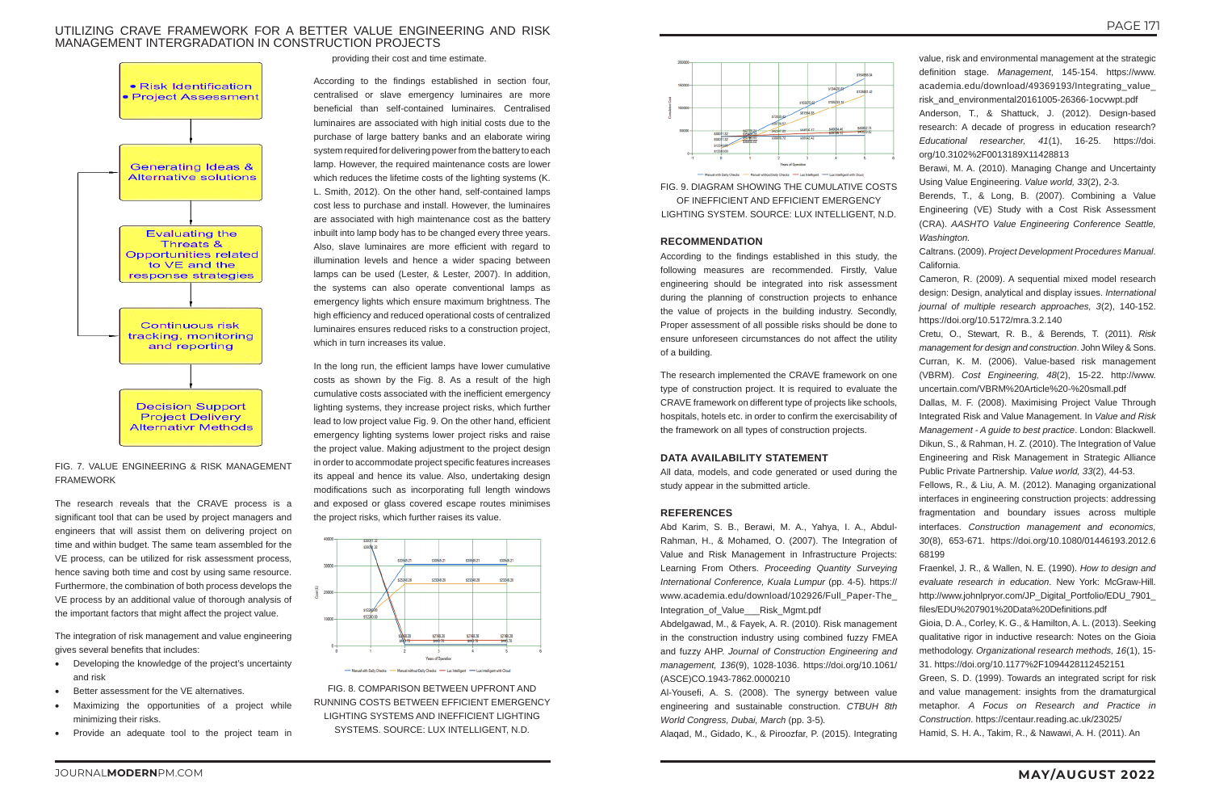# UTILIZING CRAVE FRAMEWORK FOR A BETTER VALUE ENGINEERING AND RISK MANAGEMENT INTERGRADATION IN CONSTRUCTION PROJECTS



# FIG. 7. VALUE ENGINEERING & RISK MANAGEMENT FRAMEWORK

The research reveals that the CRAVE process is a significant tool that can be used by project managers and engineers that will assist them on delivering project on time and within budget. The same team assembled for the VE process, can be utilized for risk assessment process, hence saving both time and cost by using same resource. Furthermore, the combination of both process develops the VE process by an additional value of thorough analysis of the important factors that might affect the project value.

The integration of risk management and value engineering gives several benefits that includes:

- Developing the knowledge of the project's uncertainty and risk
- Better assessment for the VE alternatives.
- Maximizing the opportunities of a project while minimizing their risks.
- Provide an adequate tool to the project team in

providing their cost and time estimate.

According to the findings established in section four, centralised or slave emergency luminaires are more beneficial than self-contained luminaires. Centralised luminaires are associated with high initial costs due to the purchase of large battery banks and an elaborate wiring system required for delivering power from the battery to each lamp. However, the required maintenance costs are lower which reduces the lifetime costs of the lighting systems (K. L. Smith, 2012). On the other hand, self-contained lamps cost less to purchase and install. However, the luminaires are associated with high maintenance cost as the battery inbuilt into lamp body has to be changed every three years. Also, slave luminaires are more efficient with regard to illumination levels and hence a wider spacing between lamps can be used (Lester, & Lester, 2007). In addition, the systems can also operate conventional lamps as emergency lights which ensure maximum brightness. The high efficiency and reduced operational costs of centralized luminaires ensures reduced risks to a construction project, which in turn increases its value.

> Abd Karim, S. B., Berawi, M. A., Yahya, I. A., Abdul-Rahman, H., & Mohamed, O. (2007). The Integration of Value and Risk Management in Infrastructure Projects: Learning From Others. *Proceeding Quantity Surveying International Conference, Kuala Lumpur* (pp. 4-5)*.* https:// www.academia.edu/download/102926/Full\_Paper-The\_ Integration of Value Risk Mgmt.pdf

In the long run, the efficient lamps have lower cumulative costs as shown by the Fig. 8. As a result of the high cumulative costs associated with the inefficient emergency lighting systems, they increase project risks, which further lead to low project value Fig. 9. On the other hand, efficient emergency lighting systems lower project risks and raise the project value. Making adjustment to the project design in order to accommodate project specific features increases its appeal and hence its value. Also, undertaking design modifications such as incorporating full length windows and exposed or glass covered escape routes minimises the project risks, which further raises its value.





FIG. 8. COMPARISON BETWEEN UPFRONT AND RUNNING COSTS BETWEEN EFFICIENT EMERGENCY LIGHTING SYSTEMS AND INEFFICIENT LIGHTING SYSTEMS. SOURCE: LUX INTELLIGENT, N.D.



FIG. 9. DIAGRAM SHOWING THE CUMULATIVE COSTS OF INEFFICIENT AND EFFICIENT EMERGENCY LIGHTING SYSTEM. SOURCE: LUX INTELLIGENT, N.D.

#### **RECOMMENDATION**

According to the findings established in this study, the following measures are recommended. Firstly, Value engineering should be integrated into risk assessment during the planning of construction projects to enhance the value of projects in the building industry. Secondly, Proper assessment of all possible risks should be done to ensure unforeseen circumstances do not affect the utility of a building.

The research implemented the CRAVE framework on one type of construction project. It is required to evaluate the CRAVE framework on different type of projects like schools, hospitals, hotels etc. in order to confirm the exercisability of the framework on all types of construction projects.

#### **DATA AVAILABILITY STATEMENT**

All data, models, and code generated or used during the study appear in the submitted article.

#### **REFERENCES**

Abdelgawad, M., & Fayek, A. R. (2010). Risk management in the construction industry using combined fuzzy FMEA and fuzzy AHP. *Journal of Construction Engineering and management, 136*(9), 1028-1036. https://doi.org/10.1061/ (ASCE)CO.1943-7862.0000210

Al-Yousefi, A. S. (2008). The synergy between value engineering and sustainable construction. *CTBUH 8th World Congress, Dubai, March* (pp. 3-5)*.*

Alaqad, M., Gidado, K., & Piroozfar, P. (2015). Integrating

- value, risk and environmental management at the strategic definition stage. *Management*, 145-154. https://www. academia.edu/download/49369193/Integrating\_value\_ risk\_and\_environmental20161005-26366-1ocvwpt.pdf
- Anderson, T., & Shattuck, J. (2012). Design-based research: A decade of progress in education research? *Educational researcher, 41*(1), 16-25. https://doi. org/10.3102%2F0013189X11428813
- Berawi, M. A. (2010). Managing Change and Uncertainty Using Value Engineering. *Value world, 33*(2), 2-3.
- Berends, T., & Long, B. (2007). Combining a Value Engineering (VE) Study with a Cost Risk Assessment (CRA). *AASHTO Value Engineering Conference Seattle, Washington.*
- Caltrans. (2009). *Project Development Procedures Manual*. California.
- Cameron, R. (2009). A sequential mixed model research design: Design, analytical and display issues. *International journal of multiple research approaches, 3*(2), 140-152. https://doi.org/10.5172/mra.3.2.140
- Cretu, O., Stewart, R. B., & Berends, T. (2011). *Risk management for design and construction*. John Wiley & Sons. Curran, K. M. (2006). Value-based risk management (VBRM). *Cost Engineering, 48*(2), 15-22. http://www. uncertain.com/VBRM%20Article%20-%20small.pdf
- Dallas, M. F. (2008). Maximising Project Value Through Integrated Risk and Value Management. In *Value and Risk Management - A guide to best practice*. London: Blackwell. Dikun, S., & Rahman, H. Z. (2010). The Integration of Value Engineering and Risk Management in Strategic Alliance Public Private Partnership. *Value world, 33*(2), 44-53.
- Fellows, R., & Liu, A. M. (2012). Managing organizational interfaces in engineering construction projects: addressing fragmentation and boundary issues across multiple interfaces. *Construction management and economics, 30*(8), 653-671. https://doi.org/10.1080/01446193.2012.6 68199
- Fraenkel, J. R., & Wallen, N. E. (1990). *How to design and evaluate research in education*. New York: McGraw-Hill. http://www.johnlpryor.com/JP\_Digital\_Portfolio/EDU\_7901 files/EDU%207901%20Data%20Definitions.pdf
- Gioia, D. A., Corley, K. G., & Hamilton, A. L. (2013). Seeking qualitative rigor in inductive research: Notes on the Gioia methodology. *Organizational research methods, 16*(1), 15- 31. https://doi.org/10.1177%2F1094428112452151
- Green, S. D. (1999). Towards an integrated script for risk and value management: insights from the dramaturgical metaphor. *A Focus on Research and Practice in Construction*. https://centaur.reading.ac.uk/23025/
- Hamid, S. H. A., Takim, R., & Nawawi, A. H. (2011). An